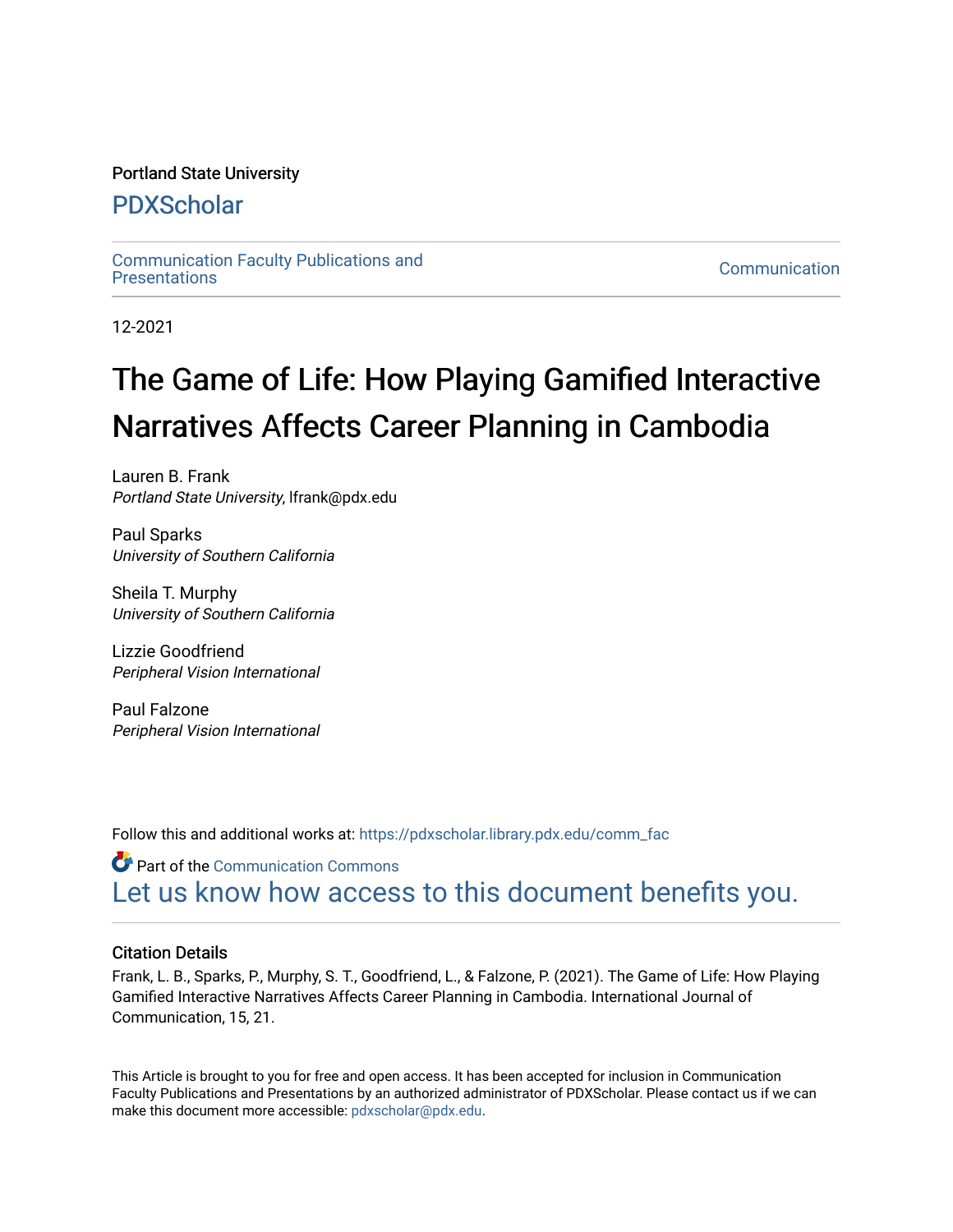# Portland State University

# [PDXScholar](https://pdxscholar.library.pdx.edu/)

[Communication Faculty Publications and](https://pdxscholar.library.pdx.edu/comm_fac)  Communication Faculty Publications and<br>[Presentations](https://pdxscholar.library.pdx.edu/comm_fac) Communication

12-2021

# The Game of Life: How Playing Gamified Interactive Narratives Affects Career Planning in Cambodia

Lauren B. Frank Portland State University, lfrank@pdx.edu

Paul Sparks University of Southern California

Sheila T. Murphy University of Southern California

Lizzie Goodfriend Peripheral Vision International

Paul Falzone Peripheral Vision International

Follow this and additional works at: [https://pdxscholar.library.pdx.edu/comm\\_fac](https://pdxscholar.library.pdx.edu/comm_fac?utm_source=pdxscholar.library.pdx.edu%2Fcomm_fac%2F109&utm_medium=PDF&utm_campaign=PDFCoverPages)

Part of the [Communication Commons](http://network.bepress.com/hgg/discipline/325?utm_source=pdxscholar.library.pdx.edu%2Fcomm_fac%2F109&utm_medium=PDF&utm_campaign=PDFCoverPages)  [Let us know how access to this document benefits you.](http://library.pdx.edu/services/pdxscholar-services/pdxscholar-feedback/?ref=https://pdxscholar.library.pdx.edu/comm_fac/109) 

# Citation Details

Frank, L. B., Sparks, P., Murphy, S. T., Goodfriend, L., & Falzone, P. (2021). The Game of Life: How Playing Gamified Interactive Narratives Affects Career Planning in Cambodia. International Journal of Communication, 15, 21.

This Article is brought to you for free and open access. It has been accepted for inclusion in Communication Faculty Publications and Presentations by an authorized administrator of PDXScholar. Please contact us if we can make this document more accessible: [pdxscholar@pdx.edu.](mailto:pdxscholar@pdx.edu)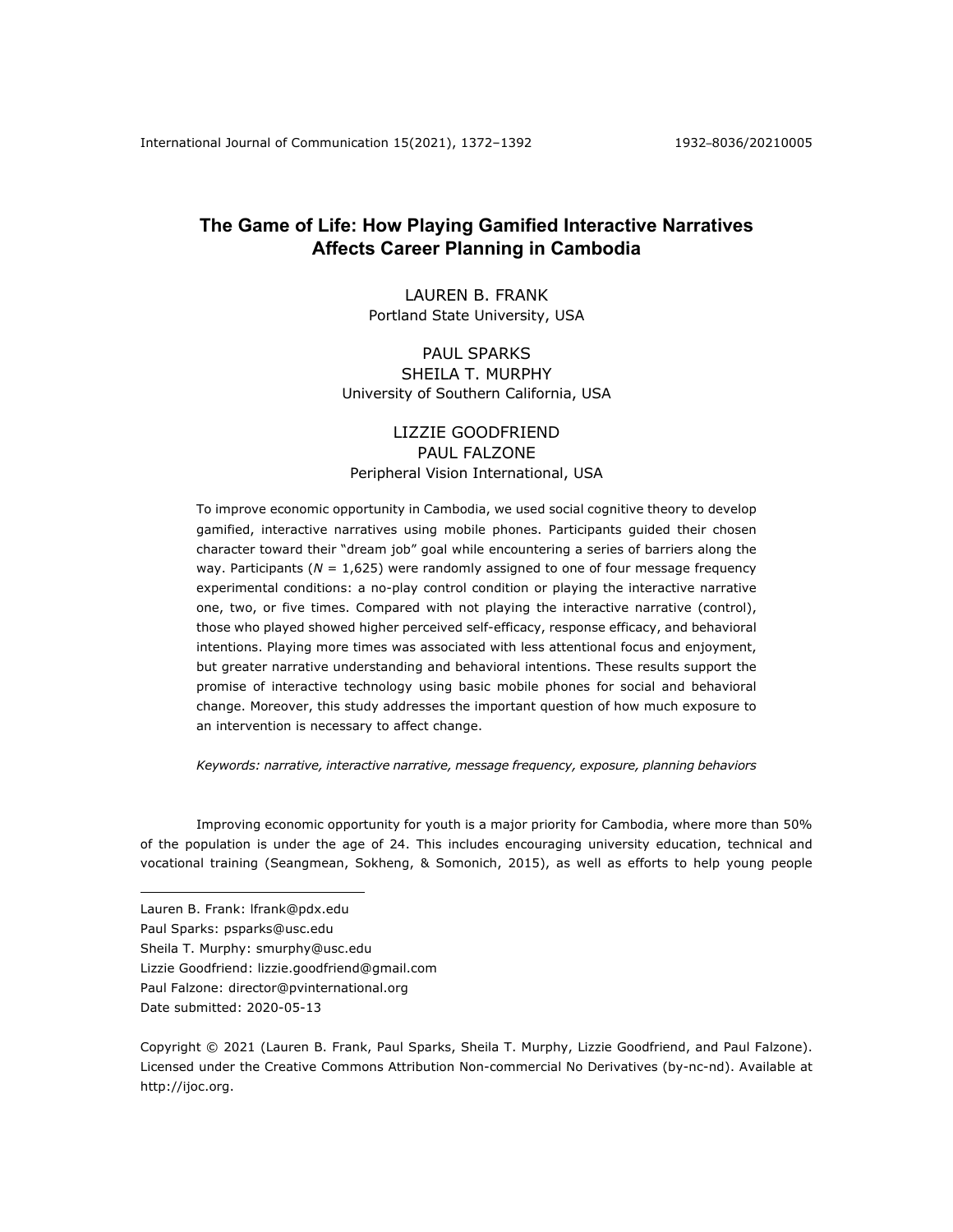# **The Game of Life: How Playing Gamified Interactive Narratives Affects Career Planning in Cambodia**

# LAUREN B. FRANK Portland State University, USA

# PAUL SPARKS SHEILA T. MURPHY University of Southern California, USA

## LIZZIE GOODFRIEND PAUL FALZONE Peripheral Vision International, USA

To improve economic opportunity in Cambodia, we used social cognitive theory to develop gamified, interactive narratives using mobile phones. Participants guided their chosen character toward their "dream job" goal while encountering a series of barriers along the way. Participants ( $N = 1,625$ ) were randomly assigned to one of four message frequency experimental conditions: a no-play control condition or playing the interactive narrative one, two, or five times. Compared with not playing the interactive narrative (control), those who played showed higher perceived self-efficacy, response efficacy, and behavioral intentions. Playing more times was associated with less attentional focus and enjoyment, but greater narrative understanding and behavioral intentions. These results support the promise of interactive technology using basic mobile phones for social and behavioral change. Moreover, this study addresses the important question of how much exposure to an intervention is necessary to affect change.

*Keywords: narrative, interactive narrative, message frequency, exposure, planning behaviors*

Improving economic opportunity for youth is a major priority for Cambodia, where more than 50% of the population is under the age of 24. This includes encouraging university education, technical and vocational training (Seangmean, Sokheng, & Somonich, 2015), as well as efforts to help young people

- Lauren B. Frank: lfrank@pdx.edu
- Paul Sparks: psparks@usc.edu
- Sheila T. Murphy: smurphy@usc.edu
- Lizzie Goodfriend: lizzie.goodfriend@gmail.com
- Paul Falzone: director@pvinternational.org
- Date submitted: 2020-05-13

Copyright © 2021 (Lauren B. Frank, Paul Sparks, Sheila T. Murphy, Lizzie Goodfriend, and Paul Falzone). Licensed under the Creative Commons Attribution Non-commercial No Derivatives (by-nc-nd). Available at http://ijoc.org.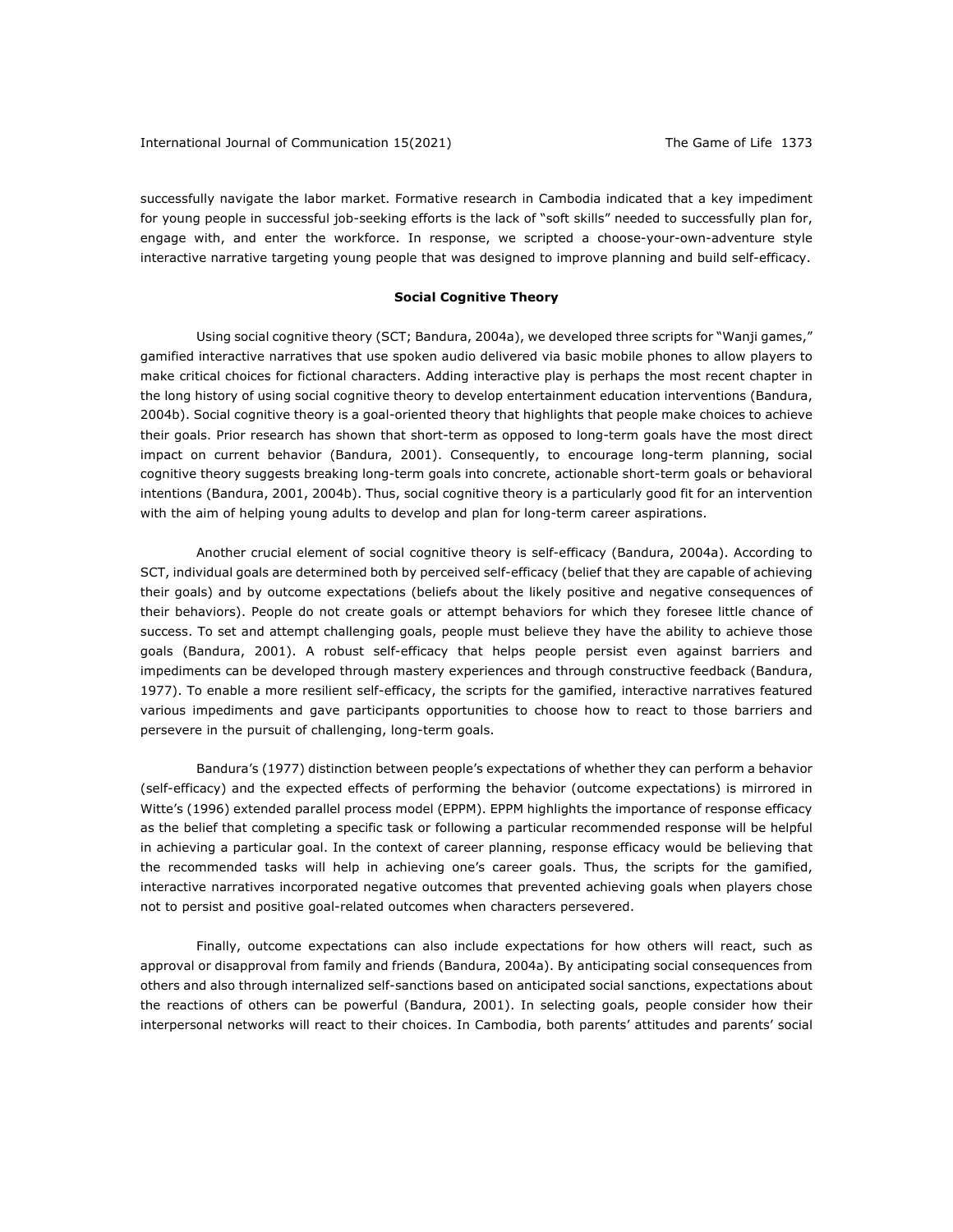successfully navigate the labor market. Formative research in Cambodia indicated that a key impediment for young people in successful job-seeking efforts is the lack of "soft skills" needed to successfully plan for, engage with, and enter the workforce. In response, we scripted a choose-your-own-adventure style interactive narrative targeting young people that was designed to improve planning and build self-efficacy.

#### **Social Cognitive Theory**

Using social cognitive theory (SCT; Bandura, 2004a), we developed three scripts for "Wanji games," gamified interactive narratives that use spoken audio delivered via basic mobile phones to allow players to make critical choices for fictional characters. Adding interactive play is perhaps the most recent chapter in the long history of using social cognitive theory to develop entertainment education interventions (Bandura, 2004b). Social cognitive theory is a goal-oriented theory that highlights that people make choices to achieve their goals. Prior research has shown that short-term as opposed to long-term goals have the most direct impact on current behavior (Bandura, 2001). Consequently, to encourage long-term planning, social cognitive theory suggests breaking long-term goals into concrete, actionable short-term goals or behavioral intentions (Bandura, 2001, 2004b). Thus, social cognitive theory is a particularly good fit for an intervention with the aim of helping young adults to develop and plan for long-term career aspirations.

Another crucial element of social cognitive theory is self-efficacy (Bandura, 2004a). According to SCT, individual goals are determined both by perceived self-efficacy (belief that they are capable of achieving their goals) and by outcome expectations (beliefs about the likely positive and negative consequences of their behaviors). People do not create goals or attempt behaviors for which they foresee little chance of success. To set and attempt challenging goals, people must believe they have the ability to achieve those goals (Bandura, 2001). A robust self-efficacy that helps people persist even against barriers and impediments can be developed through mastery experiences and through constructive feedback (Bandura, 1977). To enable a more resilient self-efficacy, the scripts for the gamified, interactive narratives featured various impediments and gave participants opportunities to choose how to react to those barriers and persevere in the pursuit of challenging, long-term goals.

Bandura's (1977) distinction between people's expectations of whether they can perform a behavior (self-efficacy) and the expected effects of performing the behavior (outcome expectations) is mirrored in Witte's (1996) extended parallel process model (EPPM). EPPM highlights the importance of response efficacy as the belief that completing a specific task or following a particular recommended response will be helpful in achieving a particular goal. In the context of career planning, response efficacy would be believing that the recommended tasks will help in achieving one's career goals. Thus, the scripts for the gamified, interactive narratives incorporated negative outcomes that prevented achieving goals when players chose not to persist and positive goal-related outcomes when characters persevered.

Finally, outcome expectations can also include expectations for how others will react, such as approval or disapproval from family and friends (Bandura, 2004a). By anticipating social consequences from others and also through internalized self-sanctions based on anticipated social sanctions, expectations about the reactions of others can be powerful (Bandura, 2001). In selecting goals, people consider how their interpersonal networks will react to their choices. In Cambodia, both parents' attitudes and parents' social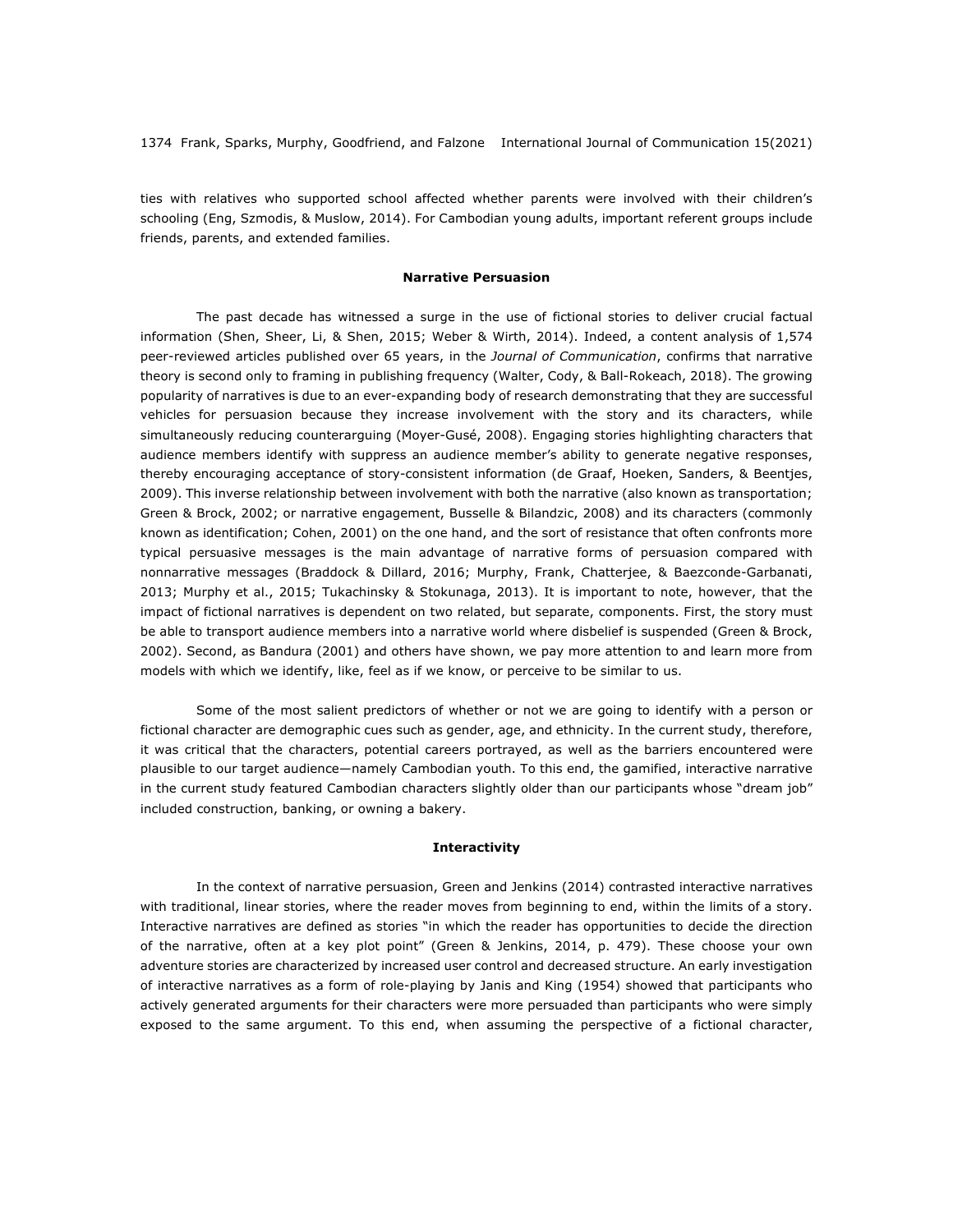ties with relatives who supported school affected whether parents were involved with their children's schooling (Eng, Szmodis, & Muslow, 2014). For Cambodian young adults, important referent groups include friends, parents, and extended families.

#### **Narrative Persuasion**

The past decade has witnessed a surge in the use of fictional stories to deliver crucial factual information (Shen, Sheer, Li, & Shen, 2015; Weber & Wirth, 2014). Indeed, a content analysis of 1,574 peer-reviewed articles published over 65 years, in the *Journal of Communication*, confirms that narrative theory is second only to framing in publishing frequency (Walter, Cody, & Ball-Rokeach, 2018). The growing popularity of narratives is due to an ever-expanding body of research demonstrating that they are successful vehicles for persuasion because they increase involvement with the story and its characters, while simultaneously reducing counterarguing (Moyer-Gusé, 2008). Engaging stories highlighting characters that audience members identify with suppress an audience member's ability to generate negative responses, thereby encouraging acceptance of story-consistent information (de Graaf, Hoeken, Sanders, & Beentjes, 2009). This inverse relationship between involvement with both the narrative (also known as transportation; Green & Brock, 2002; or narrative engagement, Busselle & Bilandzic, 2008) and its characters (commonly known as identification; Cohen, 2001) on the one hand, and the sort of resistance that often confronts more typical persuasive messages is the main advantage of narrative forms of persuasion compared with nonnarrative messages (Braddock & Dillard, 2016; Murphy, Frank, Chatterjee, & Baezconde-Garbanati, 2013; Murphy et al., 2015; Tukachinsky & Stokunaga, 2013). It is important to note, however, that the impact of fictional narratives is dependent on two related, but separate, components. First, the story must be able to transport audience members into a narrative world where disbelief is suspended (Green & Brock, 2002). Second, as Bandura (2001) and others have shown, we pay more attention to and learn more from models with which we identify, like, feel as if we know, or perceive to be similar to us.

Some of the most salient predictors of whether or not we are going to identify with a person or fictional character are demographic cues such as gender, age, and ethnicity. In the current study, therefore, it was critical that the characters, potential careers portrayed, as well as the barriers encountered were plausible to our target audience—namely Cambodian youth. To this end, the gamified, interactive narrative in the current study featured Cambodian characters slightly older than our participants whose "dream job" included construction, banking, or owning a bakery.

#### **Interactivity**

In the context of narrative persuasion, Green and Jenkins (2014) contrasted interactive narratives with traditional, linear stories, where the reader moves from beginning to end, within the limits of a story. Interactive narratives are defined as stories "in which the reader has opportunities to decide the direction of the narrative, often at a key plot point" (Green & Jenkins, 2014, p. 479). These choose your own adventure stories are characterized by increased user control and decreased structure. An early investigation of interactive narratives as a form of role-playing by Janis and King (1954) showed that participants who actively generated arguments for their characters were more persuaded than participants who were simply exposed to the same argument. To this end, when assuming the perspective of a fictional character,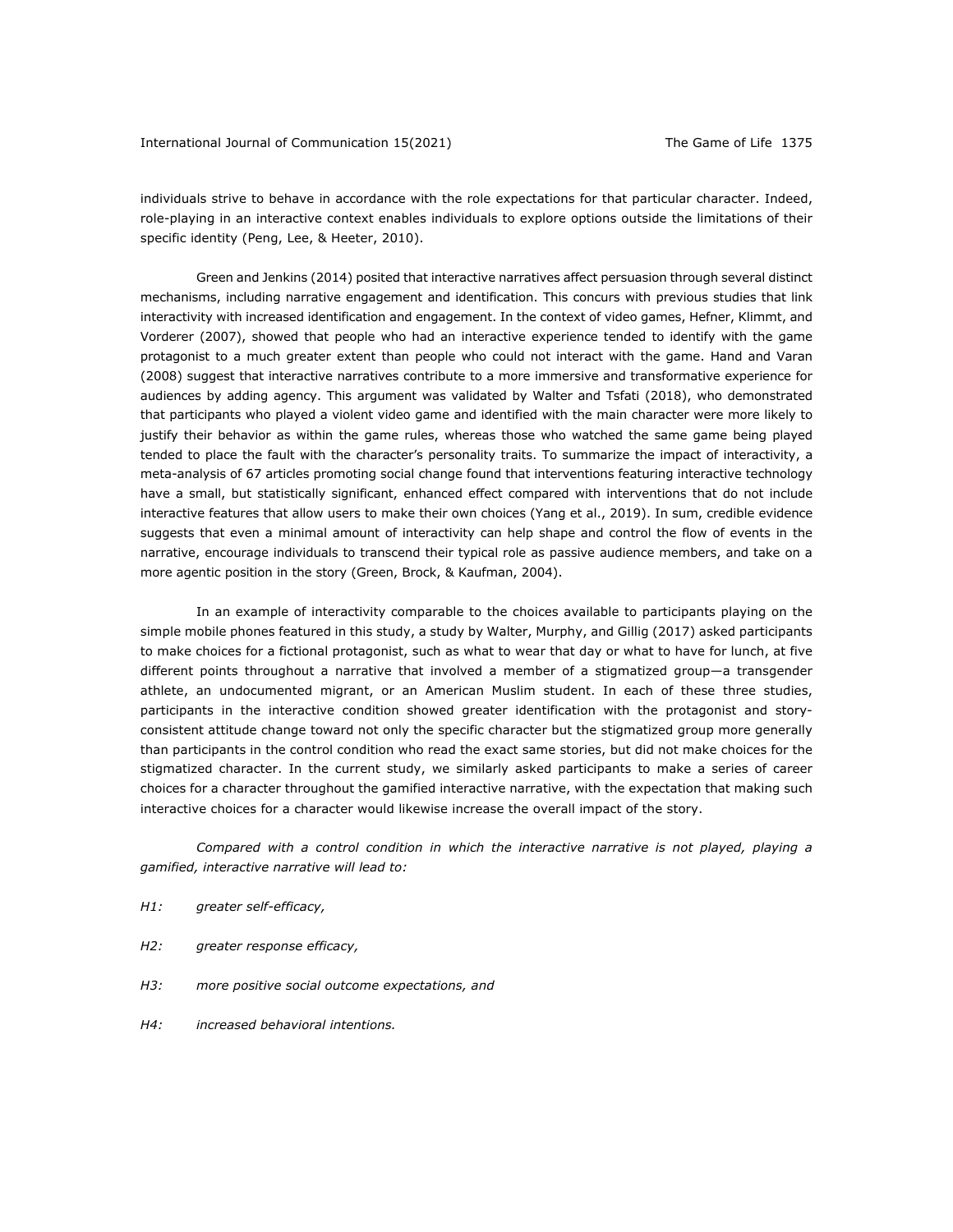individuals strive to behave in accordance with the role expectations for that particular character. Indeed, role-playing in an interactive context enables individuals to explore options outside the limitations of their specific identity (Peng, Lee, & Heeter, 2010).

Green and Jenkins (2014) posited that interactive narratives affect persuasion through several distinct mechanisms, including narrative engagement and identification. This concurs with previous studies that link interactivity with increased identification and engagement. In the context of video games, Hefner, Klimmt, and Vorderer (2007), showed that people who had an interactive experience tended to identify with the game protagonist to a much greater extent than people who could not interact with the game. Hand and Varan (2008) suggest that interactive narratives contribute to a more immersive and transformative experience for audiences by adding agency. This argument was validated by Walter and Tsfati (2018), who demonstrated that participants who played a violent video game and identified with the main character were more likely to justify their behavior as within the game rules, whereas those who watched the same game being played tended to place the fault with the character's personality traits. To summarize the impact of interactivity, a meta-analysis of 67 articles promoting social change found that interventions featuring interactive technology have a small, but statistically significant, enhanced effect compared with interventions that do not include interactive features that allow users to make their own choices (Yang et al., 2019). In sum, credible evidence suggests that even a minimal amount of interactivity can help shape and control the flow of events in the narrative, encourage individuals to transcend their typical role as passive audience members, and take on a more agentic position in the story (Green, Brock, & Kaufman, 2004).

In an example of interactivity comparable to the choices available to participants playing on the simple mobile phones featured in this study, a study by Walter, Murphy, and Gillig (2017) asked participants to make choices for a fictional protagonist, such as what to wear that day or what to have for lunch, at five different points throughout a narrative that involved a member of a stigmatized group—a transgender athlete, an undocumented migrant, or an American Muslim student. In each of these three studies, participants in the interactive condition showed greater identification with the protagonist and storyconsistent attitude change toward not only the specific character but the stigmatized group more generally than participants in the control condition who read the exact same stories, but did not make choices for the stigmatized character. In the current study, we similarly asked participants to make a series of career choices for a character throughout the gamified interactive narrative, with the expectation that making such interactive choices for a character would likewise increase the overall impact of the story.

*Compared with a control condition in which the interactive narrative is not played, playing a gamified, interactive narrative will lead to:*

- *H1: greater self-efficacy,*
- *H2: greater response efficacy,*
- *H3: more positive social outcome expectations, and*
- *H4: increased behavioral intentions.*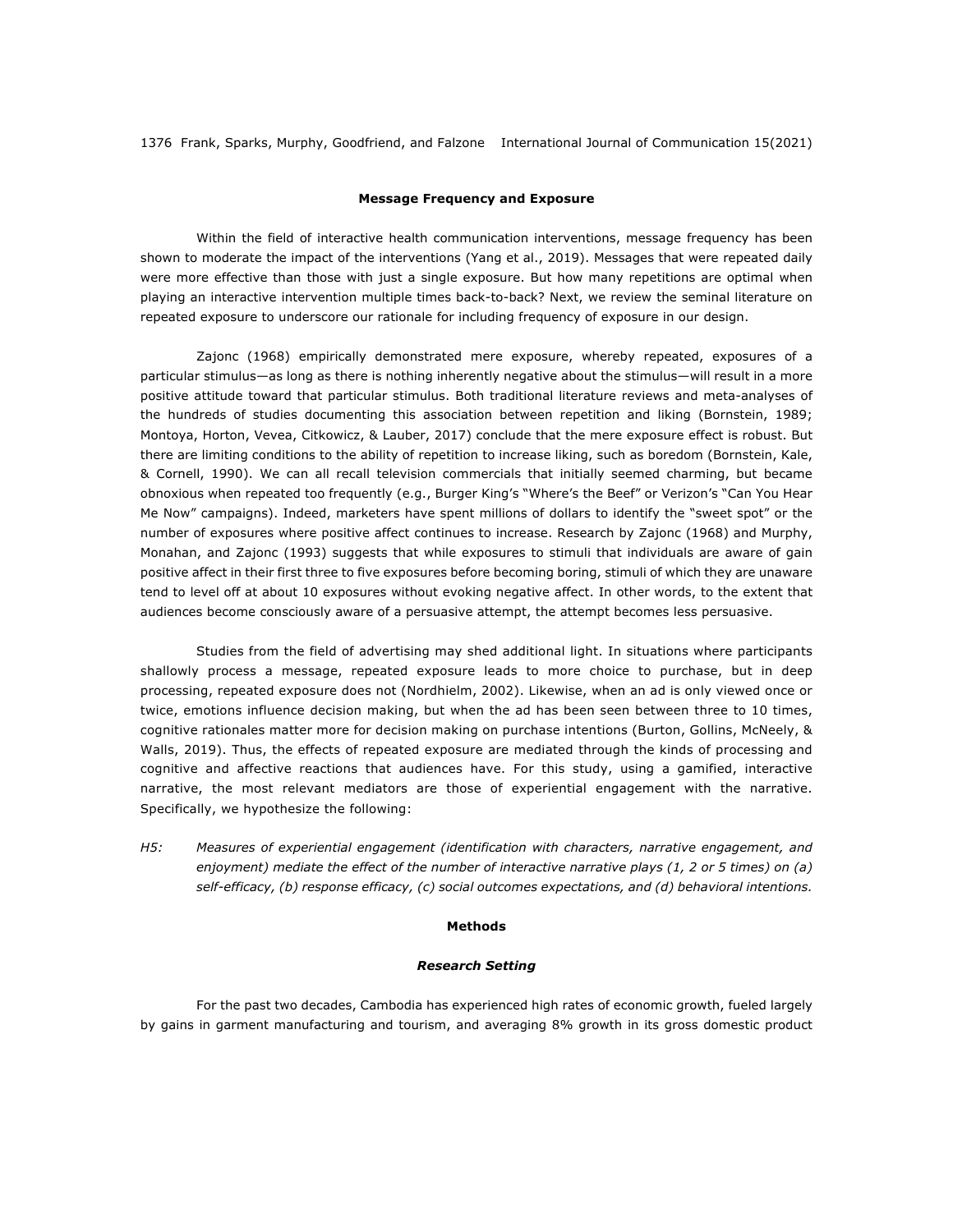#### **Message Frequency and Exposure**

Within the field of interactive health communication interventions, message frequency has been shown to moderate the impact of the interventions (Yang et al., 2019). Messages that were repeated daily were more effective than those with just a single exposure. But how many repetitions are optimal when playing an interactive intervention multiple times back-to-back? Next, we review the seminal literature on repeated exposure to underscore our rationale for including frequency of exposure in our design.

Zajonc (1968) empirically demonstrated mere exposure, whereby repeated, exposures of a particular stimulus—as long as there is nothing inherently negative about the stimulus—will result in a more positive attitude toward that particular stimulus. Both traditional literature reviews and meta-analyses of the hundreds of studies documenting this association between repetition and liking (Bornstein, 1989; Montoya, Horton, Vevea, Citkowicz, & Lauber, 2017) conclude that the mere exposure effect is robust. But there are limiting conditions to the ability of repetition to increase liking, such as boredom (Bornstein, Kale, & Cornell, 1990). We can all recall television commercials that initially seemed charming, but became obnoxious when repeated too frequently (e.g., Burger King's "Where's the Beef" or Verizon's "Can You Hear Me Now" campaigns). Indeed, marketers have spent millions of dollars to identify the "sweet spot" or the number of exposures where positive affect continues to increase. Research by Zajonc (1968) and Murphy, Monahan, and Zajonc (1993) suggests that while exposures to stimuli that individuals are aware of gain positive affect in their first three to five exposures before becoming boring, stimuli of which they are unaware tend to level off at about 10 exposures without evoking negative affect. In other words, to the extent that audiences become consciously aware of a persuasive attempt, the attempt becomes less persuasive.

Studies from the field of advertising may shed additional light. In situations where participants shallowly process a message, repeated exposure leads to more choice to purchase, but in deep processing, repeated exposure does not (Nordhielm, 2002). Likewise, when an ad is only viewed once or twice, emotions influence decision making, but when the ad has been seen between three to 10 times, cognitive rationales matter more for decision making on purchase intentions (Burton, Gollins, McNeely, & Walls, 2019). Thus, the effects of repeated exposure are mediated through the kinds of processing and cognitive and affective reactions that audiences have. For this study, using a gamified, interactive narrative, the most relevant mediators are those of experiential engagement with the narrative. Specifically, we hypothesize the following:

*H5: Measures of experiential engagement (identification with characters, narrative engagement, and enjoyment) mediate the effect of the number of interactive narrative plays (1, 2 or 5 times) on (a) self-efficacy, (b) response efficacy, (c) social outcomes expectations, and (d) behavioral intentions.*

#### **Methods**

### *Research Setting*

For the past two decades, Cambodia has experienced high rates of economic growth, fueled largely by gains in garment manufacturing and tourism, and averaging 8% growth in its gross domestic product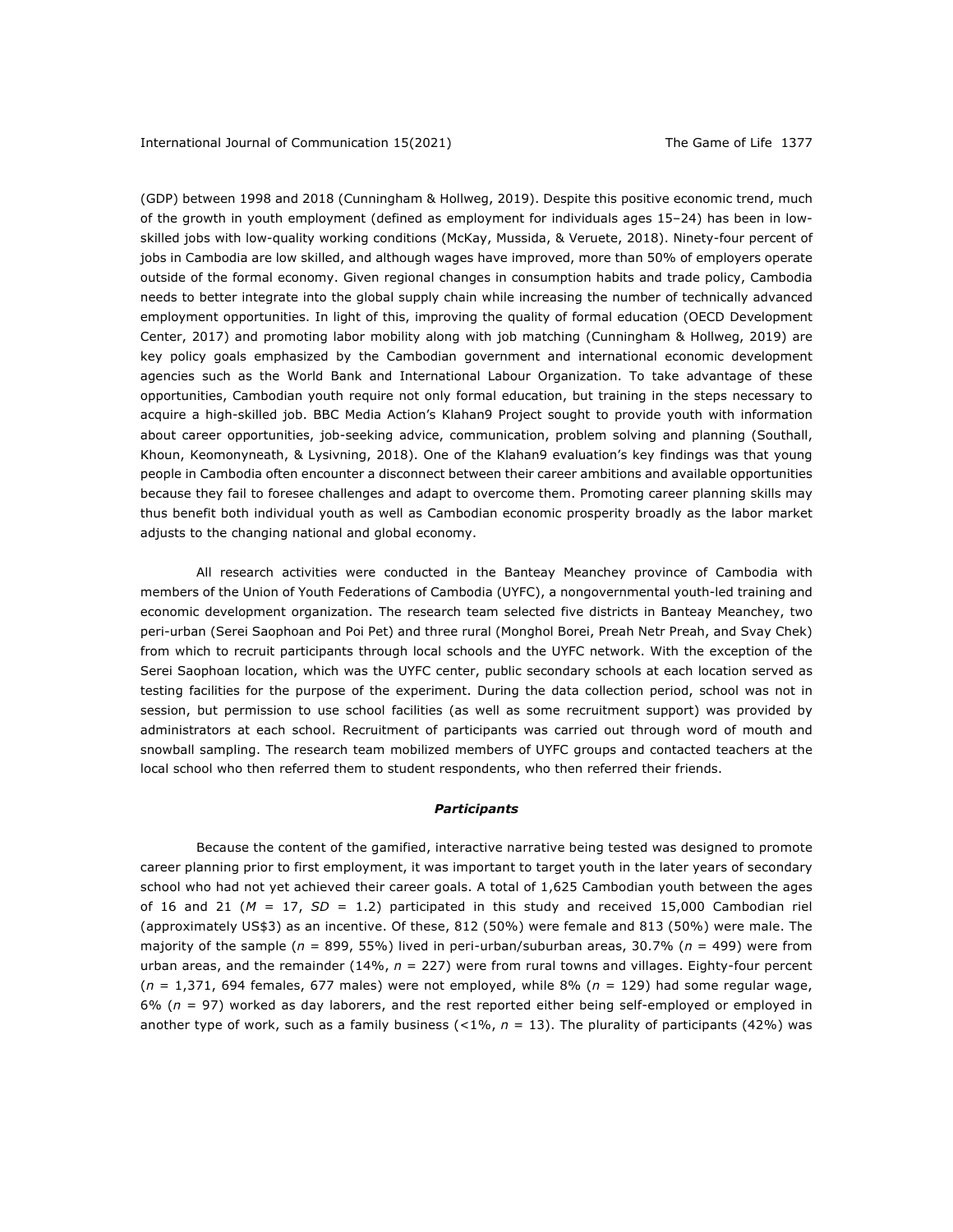(GDP) between 1998 and 2018 (Cunningham & Hollweg, 2019). Despite this positive economic trend, much of the growth in youth employment (defined as employment for individuals ages 15–24) has been in lowskilled jobs with low-quality working conditions (McKay, Mussida, & Veruete, 2018). Ninety-four percent of jobs in Cambodia are low skilled, and although wages have improved, more than 50% of employers operate outside of the formal economy. Given regional changes in consumption habits and trade policy, Cambodia needs to better integrate into the global supply chain while increasing the number of technically advanced employment opportunities. In light of this, improving the quality of formal education (OECD Development Center, 2017) and promoting labor mobility along with job matching (Cunningham & Hollweg, 2019) are key policy goals emphasized by the Cambodian government and international economic development agencies such as the World Bank and International Labour Organization. To take advantage of these opportunities, Cambodian youth require not only formal education, but training in the steps necessary to acquire a high-skilled job. BBC Media Action's Klahan9 Project sought to provide youth with information about career opportunities, job-seeking advice, communication, problem solving and planning (Southall, Khoun, Keomonyneath, & Lysivning, 2018). One of the Klahan9 evaluation's key findings was that young people in Cambodia often encounter a disconnect between their career ambitions and available opportunities because they fail to foresee challenges and adapt to overcome them. Promoting career planning skills may thus benefit both individual youth as well as Cambodian economic prosperity broadly as the labor market adjusts to the changing national and global economy.

All research activities were conducted in the Banteay Meanchey province of Cambodia with members of the Union of Youth Federations of Cambodia (UYFC), a nongovernmental youth-led training and economic development organization. The research team selected five districts in Banteay Meanchey, two peri-urban (Serei Saophoan and Poi Pet) and three rural (Monghol Borei, Preah Netr Preah, and Svay Chek) from which to recruit participants through local schools and the UYFC network. With the exception of the Serei Saophoan location, which was the UYFC center, public secondary schools at each location served as testing facilities for the purpose of the experiment. During the data collection period, school was not in session, but permission to use school facilities (as well as some recruitment support) was provided by administrators at each school. Recruitment of participants was carried out through word of mouth and snowball sampling. The research team mobilized members of UYFC groups and contacted teachers at the local school who then referred them to student respondents, who then referred their friends.

#### *Participants*

Because the content of the gamified, interactive narrative being tested was designed to promote career planning prior to first employment, it was important to target youth in the later years of secondary school who had not yet achieved their career goals. A total of 1,625 Cambodian youth between the ages of 16 and 21 ( $M = 17$ ,  $SD = 1.2$ ) participated in this study and received 15,000 Cambodian riel (approximately US\$3) as an incentive. Of these, 812 (50%) were female and 813 (50%) were male. The majority of the sample (*n* = 899, 55%) lived in peri-urban/suburban areas, 30.7% (*n* = 499) were from urban areas, and the remainder (14%, *n* = 227) were from rural towns and villages. Eighty-four percent (*n* = 1,371, 694 females, 677 males) were not employed, while 8% (*n* = 129) had some regular wage, 6% (*n* = 97) worked as day laborers, and the rest reported either being self-employed or employed in another type of work, such as a family business (<1%, *n* = 13). The plurality of participants (42%) was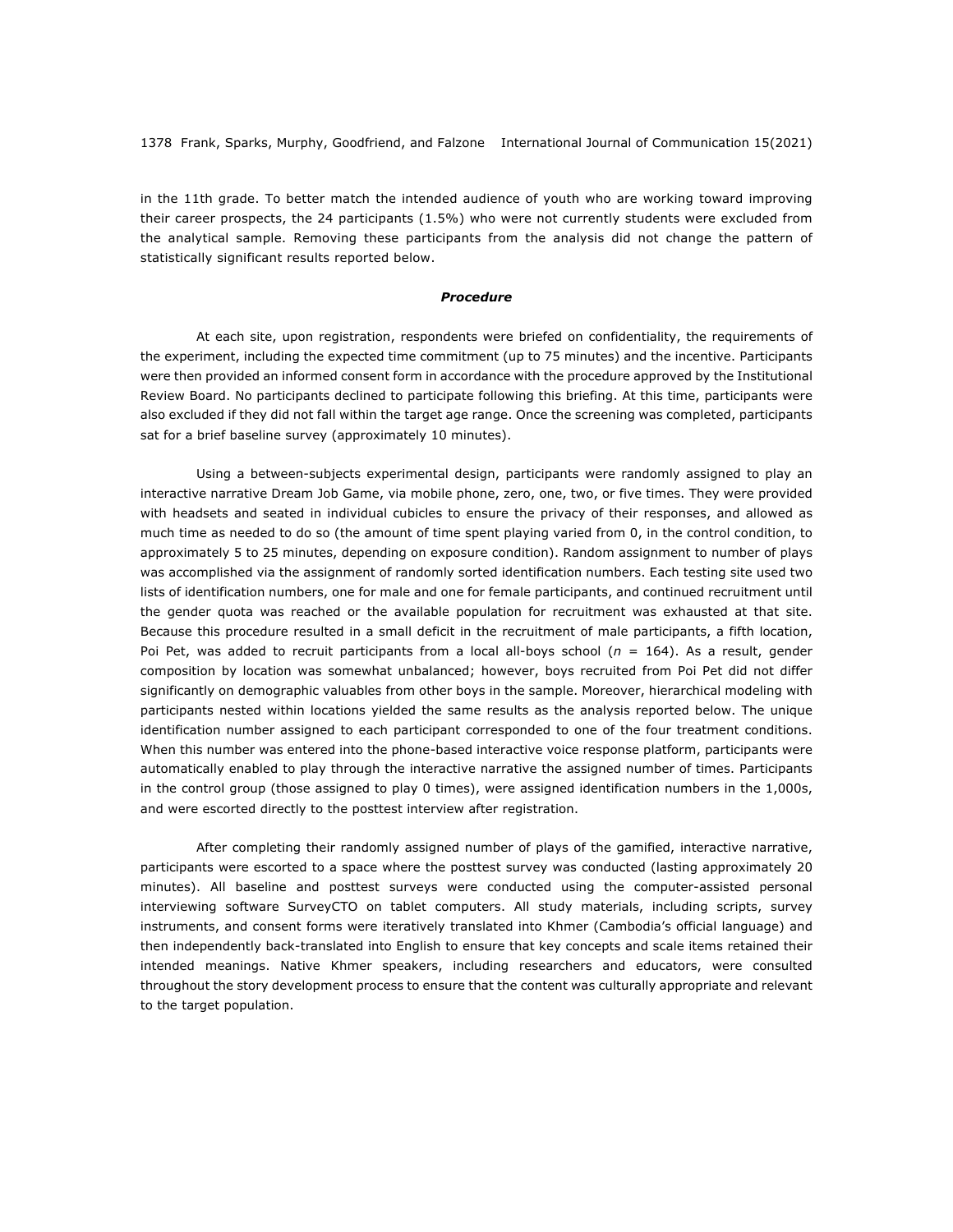in the 11th grade. To better match the intended audience of youth who are working toward improving their career prospects, the 24 participants (1.5%) who were not currently students were excluded from the analytical sample. Removing these participants from the analysis did not change the pattern of statistically significant results reported below.

#### *Procedure*

At each site, upon registration, respondents were briefed on confidentiality, the requirements of the experiment, including the expected time commitment (up to 75 minutes) and the incentive. Participants were then provided an informed consent form in accordance with the procedure approved by the Institutional Review Board. No participants declined to participate following this briefing. At this time, participants were also excluded if they did not fall within the target age range. Once the screening was completed, participants sat for a brief baseline survey (approximately 10 minutes).

Using a between-subjects experimental design, participants were randomly assigned to play an interactive narrative Dream Job Game, via mobile phone, zero, one, two, or five times. They were provided with headsets and seated in individual cubicles to ensure the privacy of their responses, and allowed as much time as needed to do so (the amount of time spent playing varied from 0, in the control condition, to approximately 5 to 25 minutes, depending on exposure condition). Random assignment to number of plays was accomplished via the assignment of randomly sorted identification numbers. Each testing site used two lists of identification numbers, one for male and one for female participants, and continued recruitment until the gender quota was reached or the available population for recruitment was exhausted at that site. Because this procedure resulted in a small deficit in the recruitment of male participants, a fifth location, Poi Pet, was added to recruit participants from a local all-boys school (*n* = 164). As a result, gender composition by location was somewhat unbalanced; however, boys recruited from Poi Pet did not differ significantly on demographic valuables from other boys in the sample. Moreover, hierarchical modeling with participants nested within locations yielded the same results as the analysis reported below. The unique identification number assigned to each participant corresponded to one of the four treatment conditions. When this number was entered into the phone-based interactive voice response platform, participants were automatically enabled to play through the interactive narrative the assigned number of times. Participants in the control group (those assigned to play 0 times), were assigned identification numbers in the 1,000s, and were escorted directly to the posttest interview after registration.

After completing their randomly assigned number of plays of the gamified, interactive narrative, participants were escorted to a space where the posttest survey was conducted (lasting approximately 20 minutes). All baseline and posttest surveys were conducted using the computer-assisted personal interviewing software SurveyCTO on tablet computers. All study materials, including scripts, survey instruments, and consent forms were iteratively translated into Khmer (Cambodia's official language) and then independently back-translated into English to ensure that key concepts and scale items retained their intended meanings. Native Khmer speakers, including researchers and educators, were consulted throughout the story development process to ensure that the content was culturally appropriate and relevant to the target population.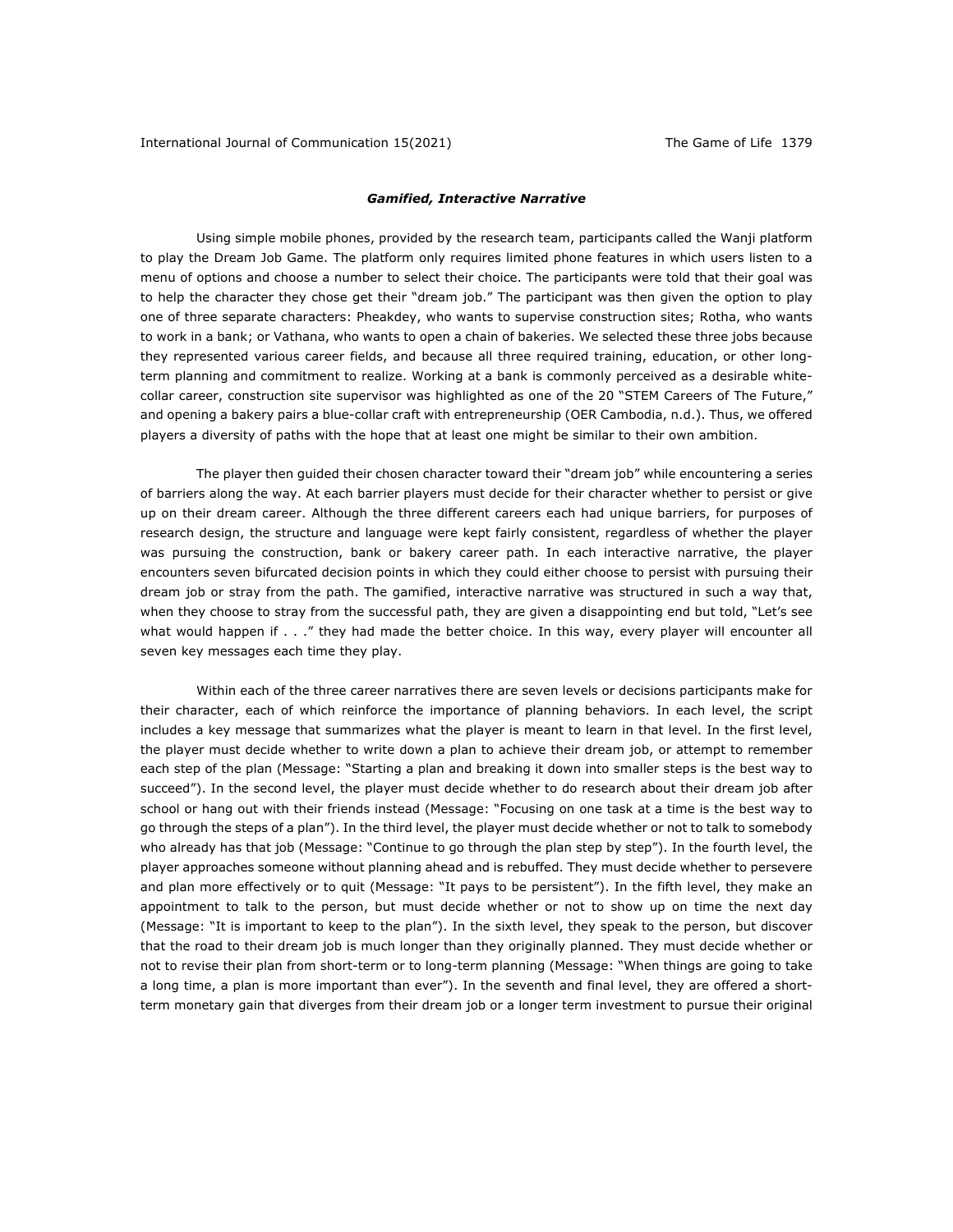#### *Gamified, Interactive Narrative*

Using simple mobile phones, provided by the research team, participants called the Wanji platform to play the Dream Job Game. The platform only requires limited phone features in which users listen to a menu of options and choose a number to select their choice. The participants were told that their goal was to help the character they chose get their "dream job." The participant was then given the option to play one of three separate characters: Pheakdey, who wants to supervise construction sites; Rotha, who wants to work in a bank; or Vathana, who wants to open a chain of bakeries. We selected these three jobs because they represented various career fields, and because all three required training, education, or other longterm planning and commitment to realize. Working at a bank is commonly perceived as a desirable whitecollar career, construction site supervisor was highlighted as one of the 20 "STEM Careers of The Future," and opening a bakery pairs a blue-collar craft with entrepreneurship (OER Cambodia, n.d.). Thus, we offered players a diversity of paths with the hope that at least one might be similar to their own ambition.

The player then guided their chosen character toward their "dream job" while encountering a series of barriers along the way. At each barrier players must decide for their character whether to persist or give up on their dream career. Although the three different careers each had unique barriers, for purposes of research design, the structure and language were kept fairly consistent, regardless of whether the player was pursuing the construction, bank or bakery career path. In each interactive narrative, the player encounters seven bifurcated decision points in which they could either choose to persist with pursuing their dream job or stray from the path. The gamified, interactive narrative was structured in such a way that, when they choose to stray from the successful path, they are given a disappointing end but told, "Let's see what would happen if . . ." they had made the better choice. In this way, every player will encounter all seven key messages each time they play.

Within each of the three career narratives there are seven levels or decisions participants make for their character, each of which reinforce the importance of planning behaviors. In each level, the script includes a key message that summarizes what the player is meant to learn in that level. In the first level, the player must decide whether to write down a plan to achieve their dream job, or attempt to remember each step of the plan (Message: "Starting a plan and breaking it down into smaller steps is the best way to succeed"). In the second level, the player must decide whether to do research about their dream job after school or hang out with their friends instead (Message: "Focusing on one task at a time is the best way to go through the steps of a plan"). In the third level, the player must decide whether or not to talk to somebody who already has that job (Message: "Continue to go through the plan step by step"). In the fourth level, the player approaches someone without planning ahead and is rebuffed. They must decide whether to persevere and plan more effectively or to quit (Message: "It pays to be persistent"). In the fifth level, they make an appointment to talk to the person, but must decide whether or not to show up on time the next day (Message: "It is important to keep to the plan"). In the sixth level, they speak to the person, but discover that the road to their dream job is much longer than they originally planned. They must decide whether or not to revise their plan from short-term or to long-term planning (Message: "When things are going to take a long time, a plan is more important than ever"). In the seventh and final level, they are offered a shortterm monetary gain that diverges from their dream job or a longer term investment to pursue their original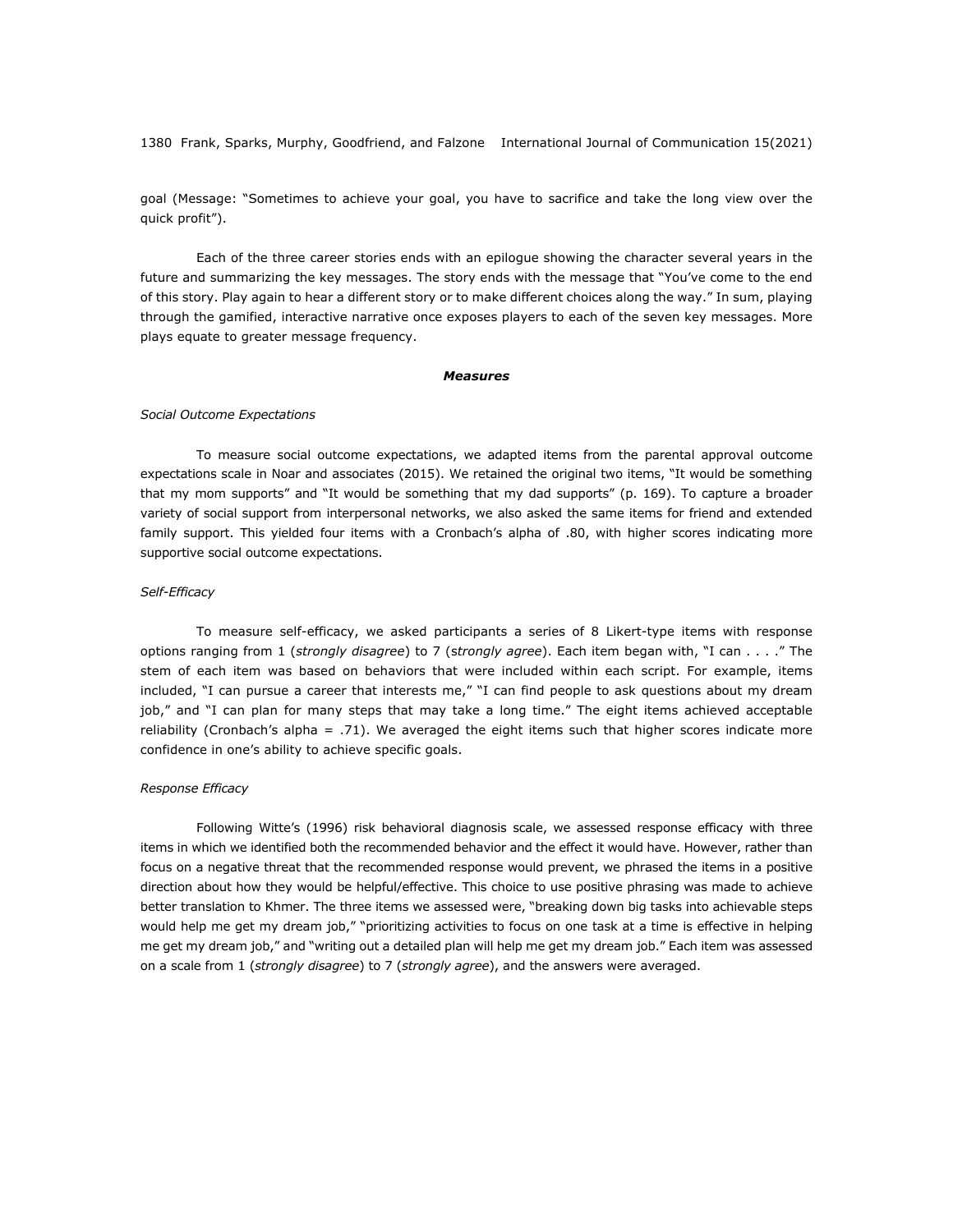goal (Message: "Sometimes to achieve your goal, you have to sacrifice and take the long view over the quick profit").

Each of the three career stories ends with an epilogue showing the character several years in the future and summarizing the key messages. The story ends with the message that "You've come to the end of this story. Play again to hear a different story or to make different choices along the way." In sum, playing through the gamified, interactive narrative once exposes players to each of the seven key messages. More plays equate to greater message frequency.

#### *Measures*

#### *Social Outcome Expectations*

To measure social outcome expectations, we adapted items from the parental approval outcome expectations scale in Noar and associates (2015). We retained the original two items, "It would be something that my mom supports" and "It would be something that my dad supports" (p. 169). To capture a broader variety of social support from interpersonal networks, we also asked the same items for friend and extended family support. This yielded four items with a Cronbach's alpha of .80, with higher scores indicating more supportive social outcome expectations.

#### *Self-Efficacy*

To measure self-efficacy, we asked participants a series of 8 Likert-type items with response options ranging from 1 (*strongly disagree*) to 7 (s*trongly agree*). Each item began with, "I can . . . ." The stem of each item was based on behaviors that were included within each script. For example, items included, "I can pursue a career that interests me," "I can find people to ask questions about my dream job," and "I can plan for many steps that may take a long time." The eight items achieved acceptable reliability (Cronbach's alpha = .71). We averaged the eight items such that higher scores indicate more confidence in one's ability to achieve specific goals.

#### *Response Efficacy*

Following Witte's (1996) risk behavioral diagnosis scale, we assessed response efficacy with three items in which we identified both the recommended behavior and the effect it would have. However, rather than focus on a negative threat that the recommended response would prevent, we phrased the items in a positive direction about how they would be helpful/effective. This choice to use positive phrasing was made to achieve better translation to Khmer. The three items we assessed were, "breaking down big tasks into achievable steps would help me get my dream job," "prioritizing activities to focus on one task at a time is effective in helping me get my dream job," and "writing out a detailed plan will help me get my dream job." Each item was assessed on a scale from 1 (*strongly disagree*) to 7 (*strongly agree*), and the answers were averaged.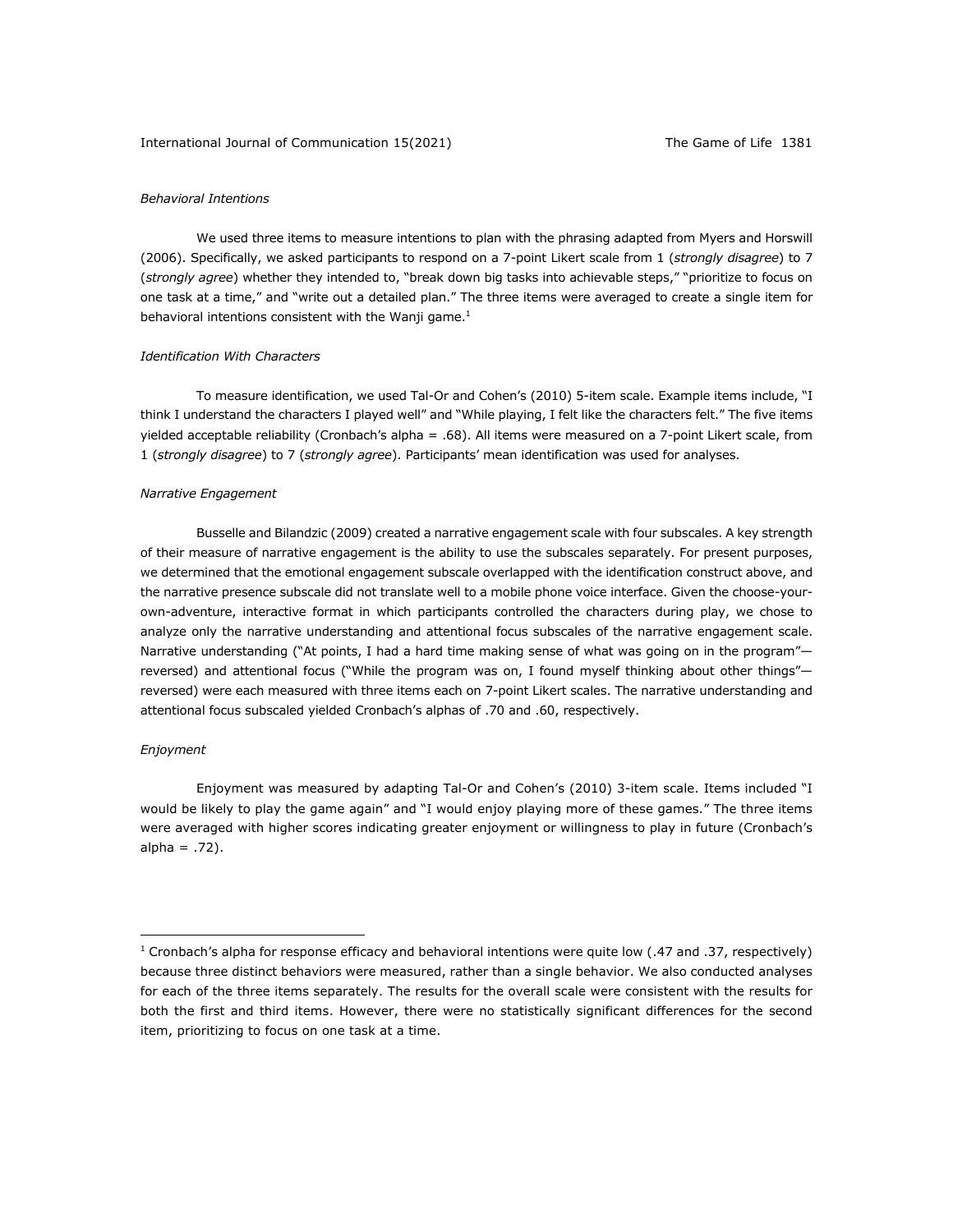#### International Journal of Communication 15(2021) The Game of Life 1381

#### *Behavioral Intentions*

We used three items to measure intentions to plan with the phrasing adapted from Myers and Horswill (2006). Specifically, we asked participants to respond on a 7-point Likert scale from 1 (*strongly disagree*) to 7 (*strongly agree*) whether they intended to, "break down big tasks into achievable steps," "prioritize to focus on one task at a time," and "write out a detailed plan." The three items were averaged to create a single item for behavioral intentions consistent with the Wanji game.<sup>1</sup>

#### *Identification With Characters*

To measure identification, we used Tal-Or and Cohen's (2010) 5-item scale. Example items include, "I think I understand the characters I played well" and "While playing, I felt like the characters felt." The five items yielded acceptable reliability (Cronbach's alpha = .68). All items were measured on a 7-point Likert scale, from 1 (*strongly disagree*) to 7 (*strongly agree*). Participants' mean identification was used for analyses.

#### *Narrative Engagement*

Busselle and Bilandzic (2009) created a narrative engagement scale with four subscales. A key strength of their measure of narrative engagement is the ability to use the subscales separately. For present purposes, we determined that the emotional engagement subscale overlapped with the identification construct above, and the narrative presence subscale did not translate well to a mobile phone voice interface. Given the choose-yourown-adventure, interactive format in which participants controlled the characters during play, we chose to analyze only the narrative understanding and attentional focus subscales of the narrative engagement scale. Narrative understanding ("At points, I had a hard time making sense of what was going on in the program"reversed) and attentional focus ("While the program was on, I found myself thinking about other things" reversed) were each measured with three items each on 7-point Likert scales. The narrative understanding and attentional focus subscaled yielded Cronbach's alphas of .70 and .60, respectively.

#### *Enjoyment*

Enjoyment was measured by adapting Tal-Or and Cohen's (2010) 3-item scale. Items included "I would be likely to play the game again" and "I would enjoy playing more of these games." The three items were averaged with higher scores indicating greater enjoyment or willingness to play in future (Cronbach's  $alpha = .72$ ).

<sup>&</sup>lt;sup>1</sup> Cronbach's alpha for response efficacy and behavioral intentions were quite low (.47 and .37, respectively) because three distinct behaviors were measured, rather than a single behavior. We also conducted analyses for each of the three items separately. The results for the overall scale were consistent with the results for both the first and third items. However, there were no statistically significant differences for the second item, prioritizing to focus on one task at a time.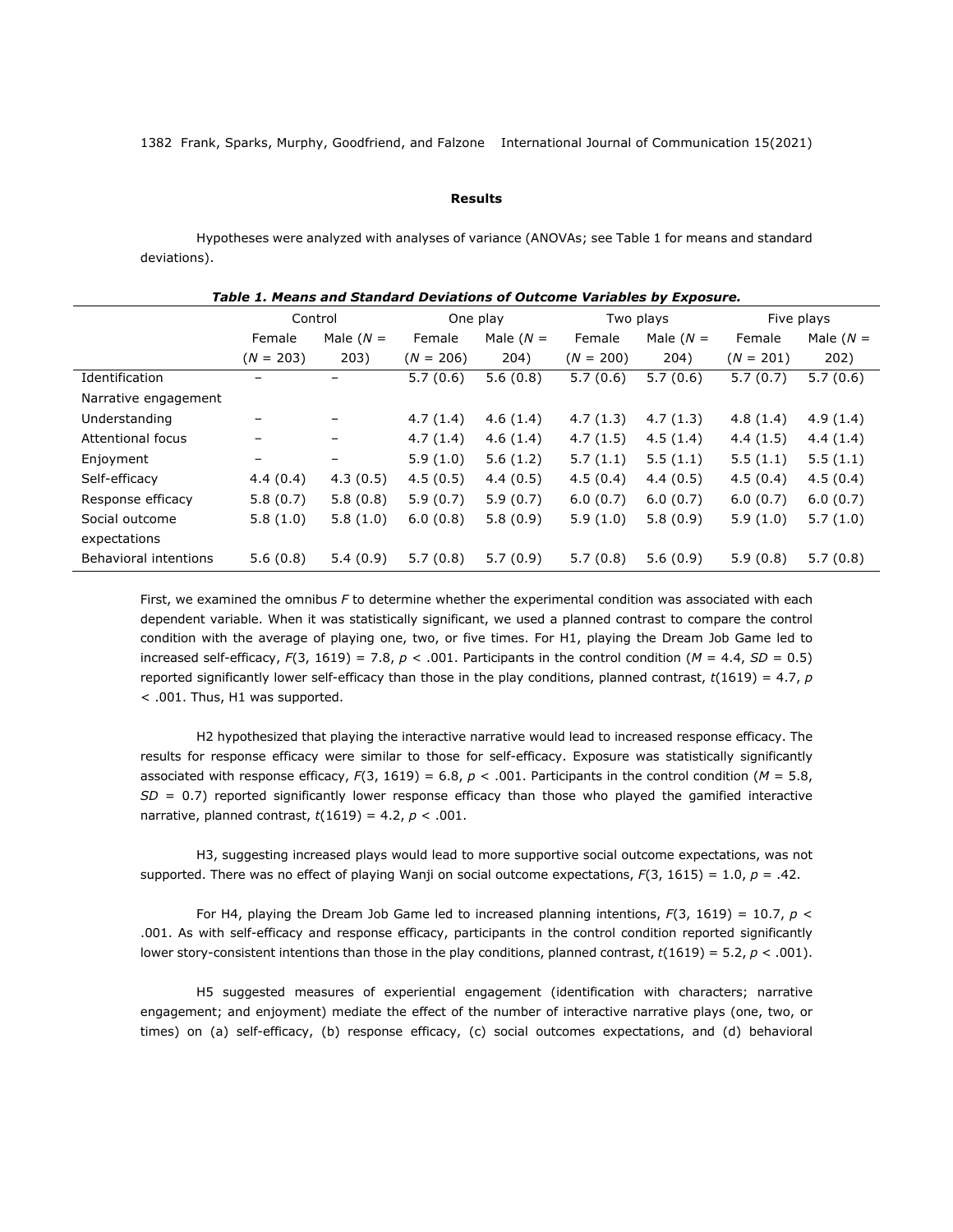#### **Results**

Hypotheses were analyzed with analyses of variance (ANOVAs; see Table 1 for means and standard deviations).

| Table 1: Picans and Standard Deviations of Outcome variables by Exposure. |             |                   |             |             |             |             |             |             |
|---------------------------------------------------------------------------|-------------|-------------------|-------------|-------------|-------------|-------------|-------------|-------------|
|                                                                           | Control     |                   | One play    |             | Two plays   |             | Five plays  |             |
|                                                                           | Female      | Male $(N =$       | Female      | Male $(N =$ | Female      | Male $(N =$ | Female      | Male $(N =$ |
|                                                                           | $(N = 203)$ | 203)              | $(N = 206)$ | 204)        | $(N = 200)$ | 204)        | $(N = 201)$ | 202)        |
| Identification                                                            |             | -                 | 5.7(0.6)    | 5.6(0.8)    | 5.7(0.6)    | 5.7(0.6)    | 5.7(0.7)    | 5.7(0.6)    |
| Narrative engagement                                                      |             |                   |             |             |             |             |             |             |
| Understanding                                                             |             |                   | 4.7(1.4)    | 4.6(1.4)    | 4.7(1.3)    | 4.7(1.3)    | 4.8(1.4)    | 4.9(1.4)    |
| <b>Attentional focus</b>                                                  |             | $\qquad \qquad -$ | 4.7(1.4)    | 4.6(1.4)    | 4.7(1.5)    | 4.5(1.4)    | 4.4(1.5)    | 4.4(1.4)    |
| Enjoyment                                                                 |             | -                 | 5.9(1.0)    | 5.6(1.2)    | 5.7(1.1)    | 5.5(1.1)    | 5.5(1.1)    | 5.5(1.1)    |
| Self-efficacy                                                             | 4.4(0.4)    | 4.3(0.5)          | 4.5(0.5)    | 4.4(0.5)    | 4.5(0.4)    | 4.4(0.5)    | 4.5(0.4)    | 4.5(0.4)    |
| Response efficacy                                                         | 5.8(0.7)    | 5.8(0.8)          | 5.9(0.7)    | 5.9(0.7)    | 6.0(0.7)    | 6.0(0.7)    | 6.0(0.7)    | 6.0(0.7)    |
| Social outcome                                                            | 5.8(1.0)    | 5.8(1.0)          | 6.0(0.8)    | 5.8(0.9)    | 5.9(1.0)    | 5.8(0.9)    | 5.9(1.0)    | 5.7(1.0)    |
| expectations                                                              |             |                   |             |             |             |             |             |             |
| Behavioral intentions                                                     | 5.6(0.8)    | 5.4(0.9)          | 5.7(0.8)    | 5.7(0.9)    | 5.7(0.8)    | 5.6(0.9)    | 5.9(0.8)    | 5.7(0.8)    |

*Table 1. Means and Standard Deviations of Outcome Variables by Exposure.*

First, we examined the omnibus *F* to determine whether the experimental condition was associated with each dependent variable. When it was statistically significant, we used a planned contrast to compare the control condition with the average of playing one, two, or five times. For H1, playing the Dream Job Game led to increased self-efficacy,  $F(3, 1619) = 7.8$ ,  $p < .001$ . Participants in the control condition ( $M = 4.4$ ,  $SD = 0.5$ ) reported significantly lower self-efficacy than those in the play conditions, planned contrast, *t*(1619) = 4.7, *p* < .001. Thus, H1 was supported.

H2 hypothesized that playing the interactive narrative would lead to increased response efficacy. The results for response efficacy were similar to those for self-efficacy. Exposure was statistically significantly associated with response efficacy, *F*(3, 1619) = 6.8, *p* < .001. Participants in the control condition (*M* = 5.8, *SD* = 0.7) reported significantly lower response efficacy than those who played the gamified interactive narrative, planned contrast, *t*(1619) = 4.2, *p* < .001.

H3, suggesting increased plays would lead to more supportive social outcome expectations, was not supported. There was no effect of playing Wanji on social outcome expectations, *F*(3, 1615) = 1.0, *p* = .42.

For H4, playing the Dream Job Game led to increased planning intentions,  $F(3, 1619) = 10.7$ ,  $p <$ .001. As with self-efficacy and response efficacy, participants in the control condition reported significantly lower story-consistent intentions than those in the play conditions, planned contrast,  $t(1619) = 5.2$ ,  $p < .001$ ).

H5 suggested measures of experiential engagement (identification with characters; narrative engagement; and enjoyment) mediate the effect of the number of interactive narrative plays (one, two, or times) on (a) self-efficacy, (b) response efficacy, (c) social outcomes expectations, and (d) behavioral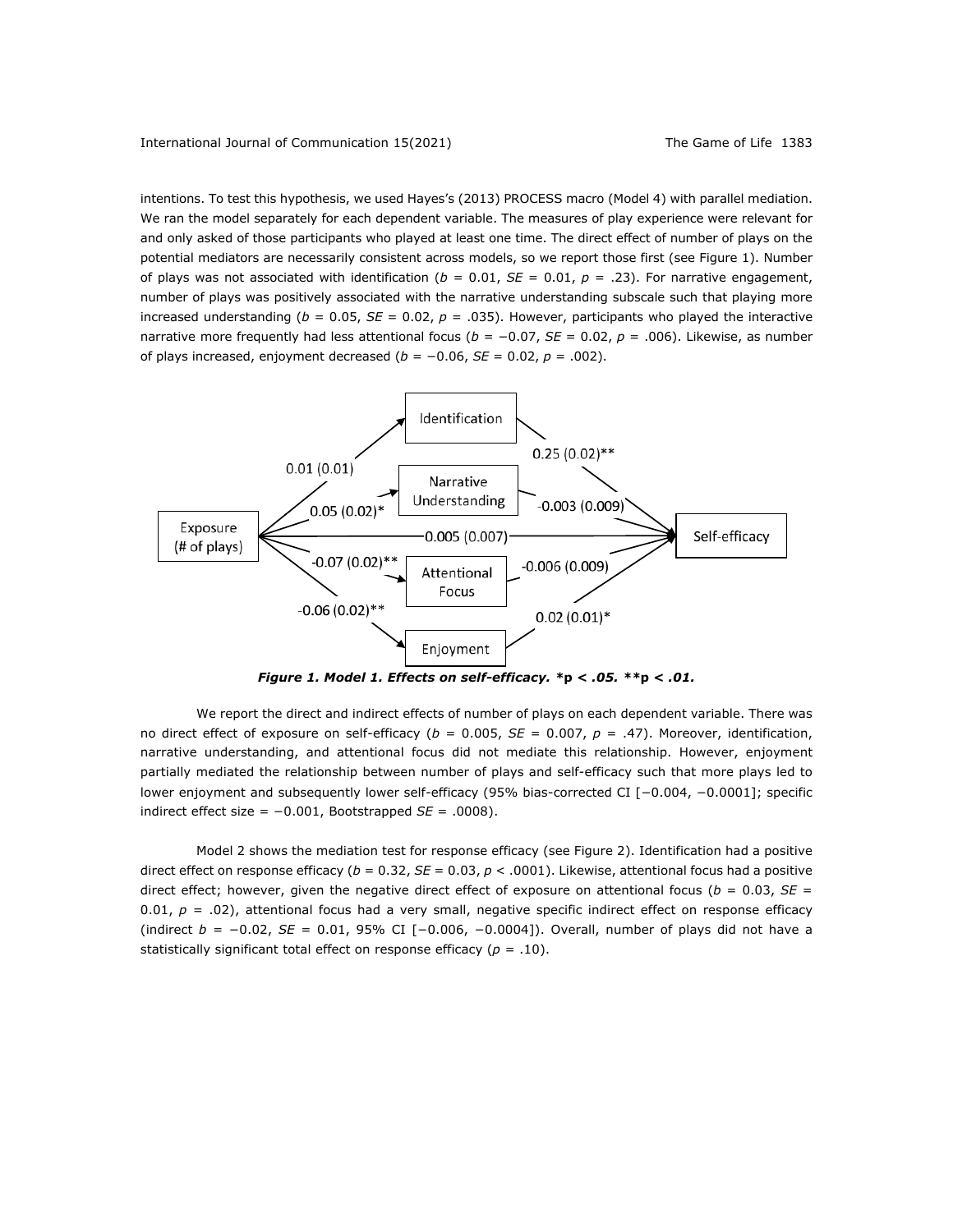intentions. To test this hypothesis, we used Hayes's (2013) PROCESS macro (Model 4) with parallel mediation. We ran the model separately for each dependent variable. The measures of play experience were relevant for and only asked of those participants who played at least one time. The direct effect of number of plays on the potential mediators are necessarily consistent across models, so we report those first (see Figure 1). Number of plays was not associated with identification ( $b = 0.01$ ,  $SE = 0.01$ ,  $p = .23$ ). For narrative engagement, number of plays was positively associated with the narrative understanding subscale such that playing more increased understanding ( $b = 0.05$ ,  $SE = 0.02$ ,  $p = .035$ ). However, participants who played the interactive narrative more frequently had less attentional focus (*b* = −0.07, *SE* = 0.02, *p* = .006). Likewise, as number of plays increased, enjoyment decreased (*b* = −0.06, *SE* = 0.02, *p* = .002).



*Figure 1. Model 1. Effects on self-efficacy. \****p** *< .05. \*\****p** *< .01.*

We report the direct and indirect effects of number of plays on each dependent variable. There was no direct effect of exposure on self-efficacy (*b* = 0.005, *SE* = 0.007, *p* = .47). Moreover, identification, narrative understanding, and attentional focus did not mediate this relationship. However, enjoyment partially mediated the relationship between number of plays and self-efficacy such that more plays led to lower enjoyment and subsequently lower self-efficacy (95% bias-corrected CI [−0.004, −0.0001]; specific indirect effect size = −0.001, Bootstrapped *SE* = .0008).

Model 2 shows the mediation test for response efficacy (see Figure 2). Identification had a positive direct effect on response efficacy (*b* = 0.32, *SE* = 0.03, *p* < .0001). Likewise, attentional focus had a positive direct effect; however, given the negative direct effect of exposure on attentional focus ( $b = 0.03$ ,  $SE =$ 0.01,  $p = .02$ ), attentional focus had a very small, negative specific indirect effect on response efficacy (indirect *b* = −0.02, *SE* = 0.01, 95% CI [−0.006, −0.0004]). Overall, number of plays did not have a statistically significant total effect on response efficacy ( $p = .10$ ).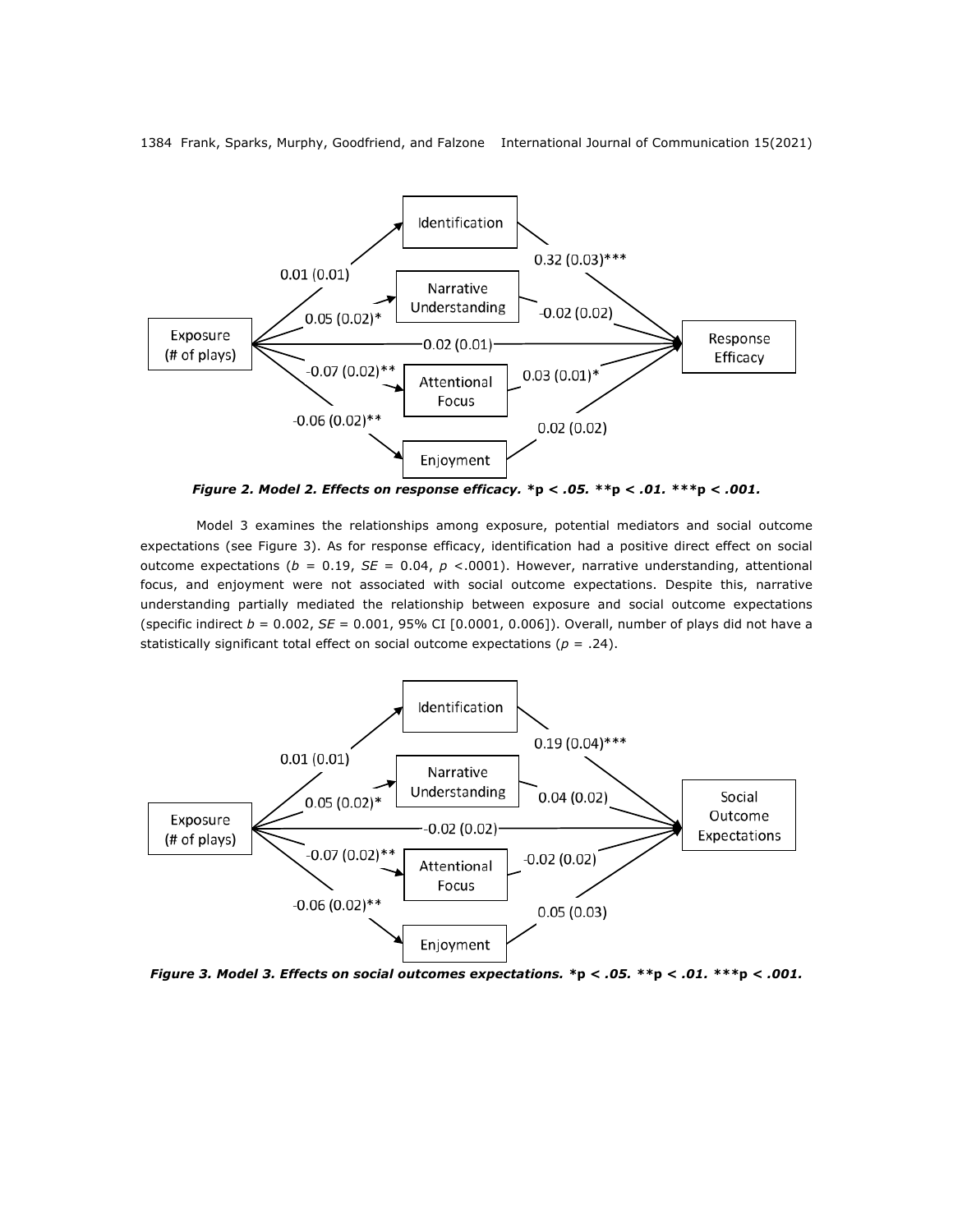

*Figure 2. Model 2. Effects on response efficacy. \****p** *< .05. \*\****p** *< .01. \*\*\****p** *< .001.*

Model 3 examines the relationships among exposure, potential mediators and social outcome expectations (see Figure 3). As for response efficacy, identification had a positive direct effect on social outcome expectations (*b* = 0.19, *SE* = 0.04, *p* <.0001). However, narrative understanding, attentional focus, and enjoyment were not associated with social outcome expectations. Despite this, narrative understanding partially mediated the relationship between exposure and social outcome expectations (specific indirect *b* = 0.002, *SE* = 0.001, 95% CI [0.0001, 0.006]). Overall, number of plays did not have a statistically significant total effect on social outcome expectations ( $p = .24$ ).



*Figure 3. Model 3. Effects on social outcomes expectations. \****p** *< .05. \*\****p** *< .01. \*\*\****p** *< .001.*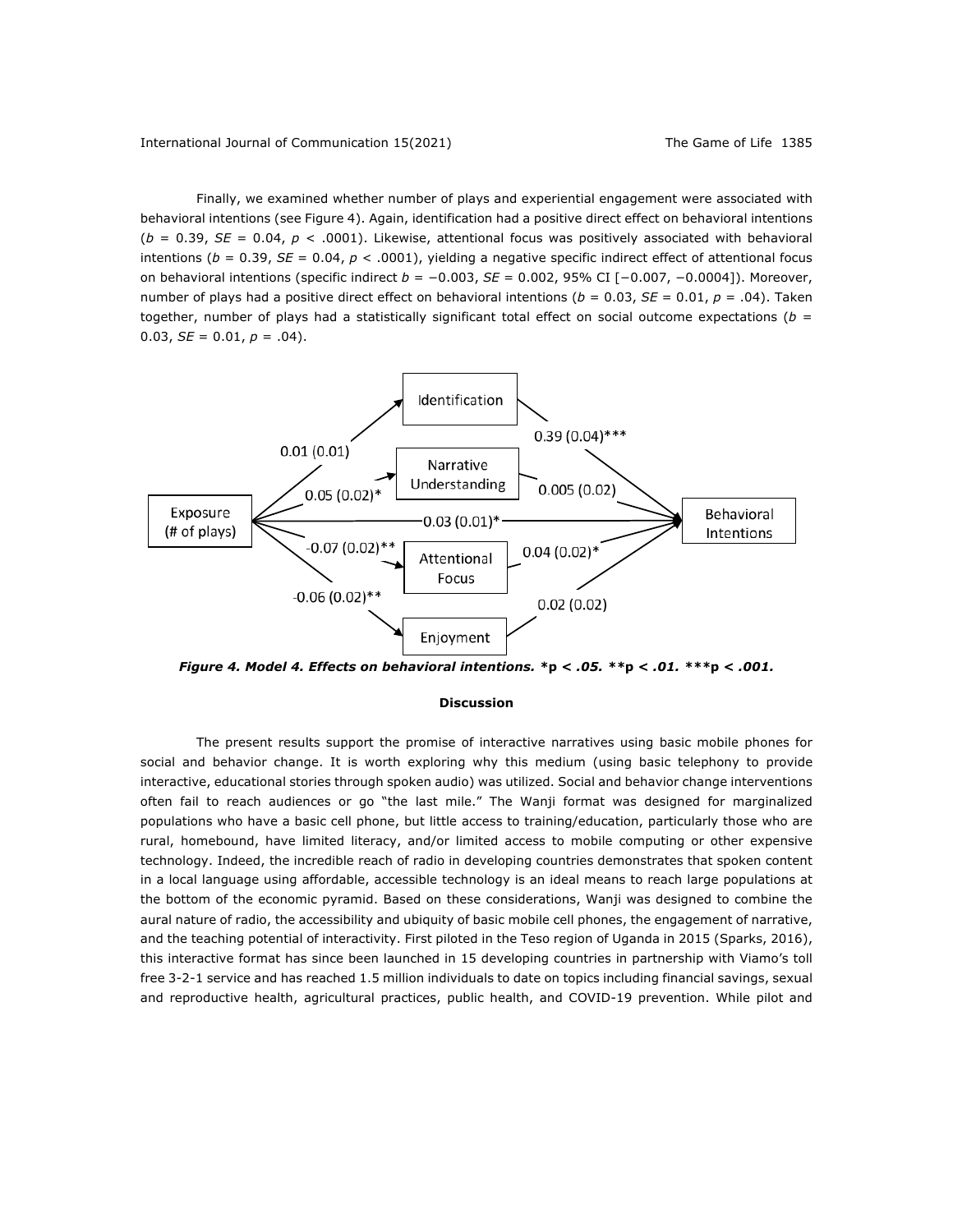Finally, we examined whether number of plays and experiential engagement were associated with behavioral intentions (see Figure 4). Again, identification had a positive direct effect on behavioral intentions  $(b = 0.39, SE = 0.04, p < .0001)$ . Likewise, attentional focus was positively associated with behavioral intentions ( $b = 0.39$ ,  $SE = 0.04$ ,  $p < .0001$ ), yielding a negative specific indirect effect of attentional focus on behavioral intentions (specific indirect *b* = −0.003, *SE* = 0.002, 95% CI [−0.007, −0.0004]). Moreover, number of plays had a positive direct effect on behavioral intentions (*b* = 0.03, *SE* = 0.01, *p* = .04). Taken together, number of plays had a statistically significant total effect on social outcome expectations (*b* = 0.03,  $SE = 0.01$ ,  $p = .04$ ).



*Figure 4. Model 4. Effects on behavioral intentions. \****p** *< .05. \*\****p** *< .01. \*\*\****p** *< .001.*

#### **Discussion**

The present results support the promise of interactive narratives using basic mobile phones for social and behavior change. It is worth exploring why this medium (using basic telephony to provide interactive, educational stories through spoken audio) was utilized. Social and behavior change interventions often fail to reach audiences or go "the last mile." The Wanji format was designed for marginalized populations who have a basic cell phone, but little access to training/education, particularly those who are rural, homebound, have limited literacy, and/or limited access to mobile computing or other expensive technology. Indeed, the incredible reach of radio in developing countries demonstrates that spoken content in a local language using affordable, accessible technology is an ideal means to reach large populations at the bottom of the economic pyramid. Based on these considerations, Wanji was designed to combine the aural nature of radio, the accessibility and ubiquity of basic mobile cell phones, the engagement of narrative, and the teaching potential of interactivity. First piloted in the Teso region of Uganda in 2015 (Sparks, 2016), this interactive format has since been launched in 15 developing countries in partnership with Viamo's toll free 3-2-1 service and has reached 1.5 million individuals to date on topics including financial savings, sexual and reproductive health, agricultural practices, public health, and COVID-19 prevention. While pilot and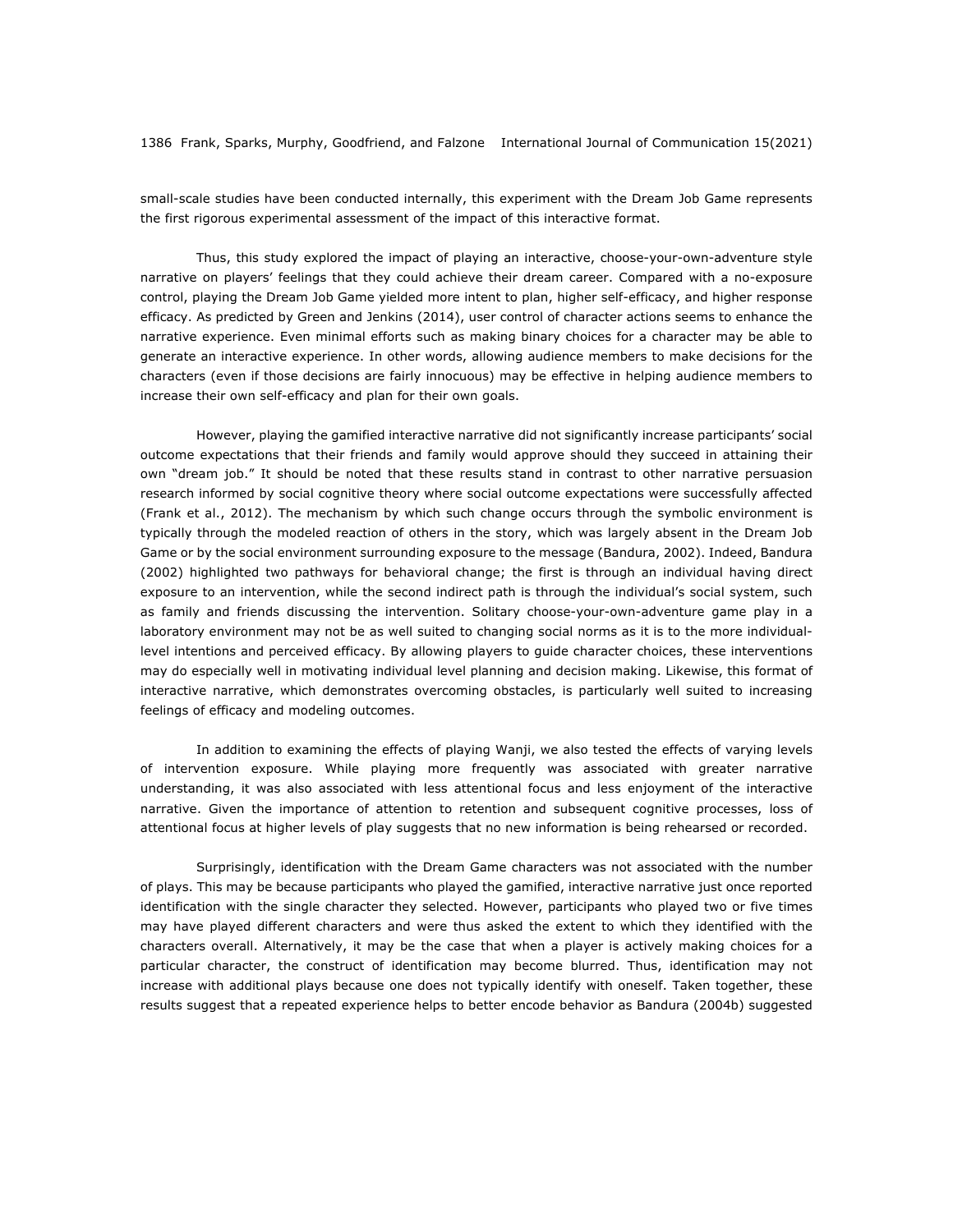small-scale studies have been conducted internally, this experiment with the Dream Job Game represents the first rigorous experimental assessment of the impact of this interactive format.

Thus, this study explored the impact of playing an interactive, choose-your-own-adventure style narrative on players' feelings that they could achieve their dream career. Compared with a no-exposure control, playing the Dream Job Game yielded more intent to plan, higher self-efficacy, and higher response efficacy. As predicted by Green and Jenkins (2014), user control of character actions seems to enhance the narrative experience. Even minimal efforts such as making binary choices for a character may be able to generate an interactive experience. In other words, allowing audience members to make decisions for the characters (even if those decisions are fairly innocuous) may be effective in helping audience members to increase their own self-efficacy and plan for their own goals.

However, playing the gamified interactive narrative did not significantly increase participants' social outcome expectations that their friends and family would approve should they succeed in attaining their own "dream job." It should be noted that these results stand in contrast to other narrative persuasion research informed by social cognitive theory where social outcome expectations were successfully affected (Frank et al., 2012). The mechanism by which such change occurs through the symbolic environment is typically through the modeled reaction of others in the story, which was largely absent in the Dream Job Game or by the social environment surrounding exposure to the message (Bandura, 2002). Indeed, Bandura (2002) highlighted two pathways for behavioral change; the first is through an individual having direct exposure to an intervention, while the second indirect path is through the individual's social system, such as family and friends discussing the intervention. Solitary choose-your-own-adventure game play in a laboratory environment may not be as well suited to changing social norms as it is to the more individuallevel intentions and perceived efficacy. By allowing players to guide character choices, these interventions may do especially well in motivating individual level planning and decision making. Likewise, this format of interactive narrative, which demonstrates overcoming obstacles, is particularly well suited to increasing feelings of efficacy and modeling outcomes.

In addition to examining the effects of playing Wanji, we also tested the effects of varying levels of intervention exposure. While playing more frequently was associated with greater narrative understanding, it was also associated with less attentional focus and less enjoyment of the interactive narrative. Given the importance of attention to retention and subsequent cognitive processes, loss of attentional focus at higher levels of play suggests that no new information is being rehearsed or recorded.

Surprisingly, identification with the Dream Game characters was not associated with the number of plays. This may be because participants who played the gamified, interactive narrative just once reported identification with the single character they selected. However, participants who played two or five times may have played different characters and were thus asked the extent to which they identified with the characters overall. Alternatively, it may be the case that when a player is actively making choices for a particular character, the construct of identification may become blurred. Thus, identification may not increase with additional plays because one does not typically identify with oneself. Taken together, these results suggest that a repeated experience helps to better encode behavior as Bandura (2004b) suggested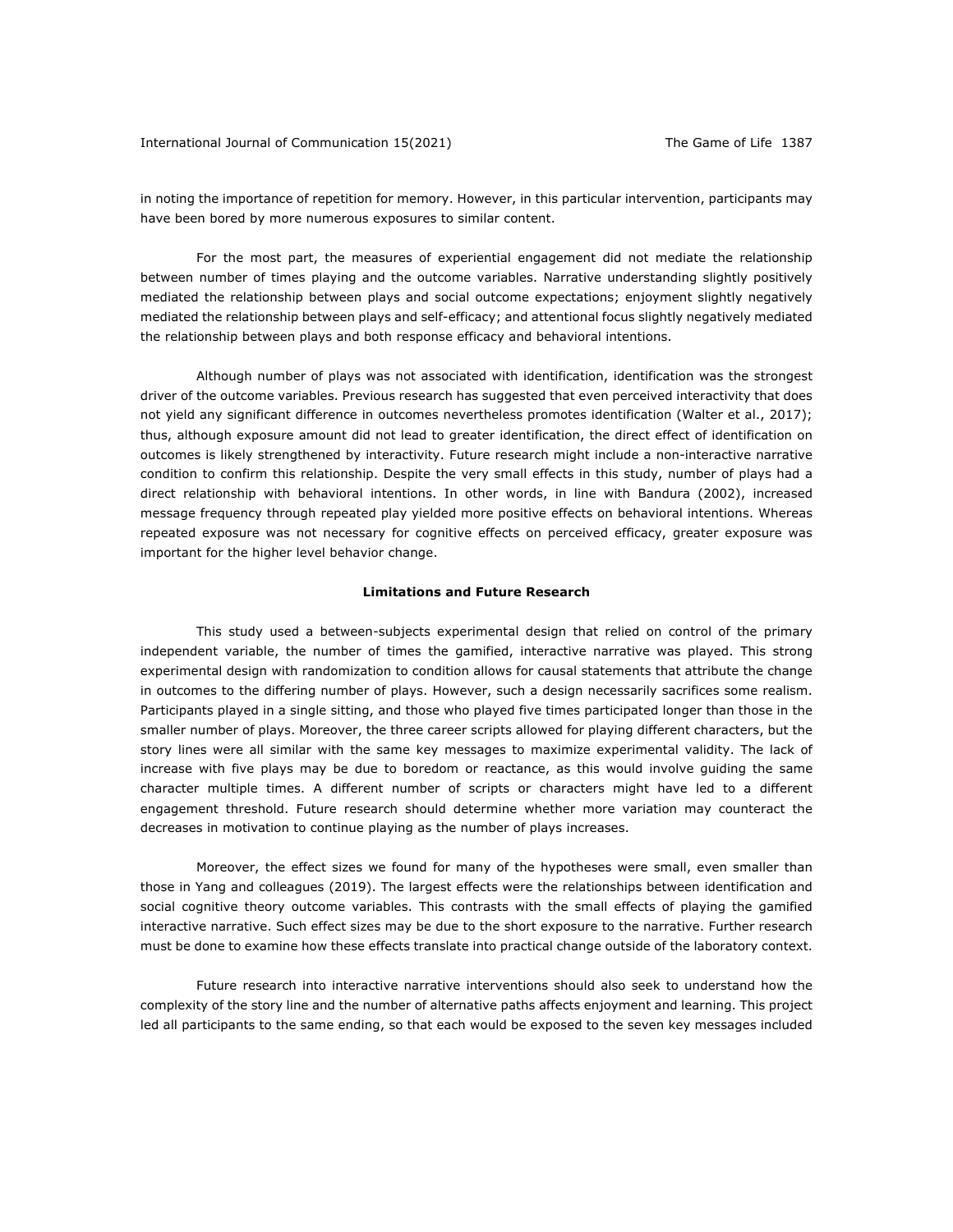International Journal of Communication 15(2021) The Game of Life 1387

in noting the importance of repetition for memory. However, in this particular intervention, participants may have been bored by more numerous exposures to similar content.

For the most part, the measures of experiential engagement did not mediate the relationship between number of times playing and the outcome variables. Narrative understanding slightly positively mediated the relationship between plays and social outcome expectations; enjoyment slightly negatively mediated the relationship between plays and self-efficacy; and attentional focus slightly negatively mediated the relationship between plays and both response efficacy and behavioral intentions.

Although number of plays was not associated with identification, identification was the strongest driver of the outcome variables. Previous research has suggested that even perceived interactivity that does not yield any significant difference in outcomes nevertheless promotes identification (Walter et al., 2017); thus, although exposure amount did not lead to greater identification, the direct effect of identification on outcomes is likely strengthened by interactivity. Future research might include a non-interactive narrative condition to confirm this relationship. Despite the very small effects in this study, number of plays had a direct relationship with behavioral intentions. In other words, in line with Bandura (2002), increased message frequency through repeated play yielded more positive effects on behavioral intentions. Whereas repeated exposure was not necessary for cognitive effects on perceived efficacy, greater exposure was important for the higher level behavior change.

#### **Limitations and Future Research**

This study used a between-subjects experimental design that relied on control of the primary independent variable, the number of times the gamified, interactive narrative was played. This strong experimental design with randomization to condition allows for causal statements that attribute the change in outcomes to the differing number of plays. However, such a design necessarily sacrifices some realism. Participants played in a single sitting, and those who played five times participated longer than those in the smaller number of plays. Moreover, the three career scripts allowed for playing different characters, but the story lines were all similar with the same key messages to maximize experimental validity. The lack of increase with five plays may be due to boredom or reactance, as this would involve guiding the same character multiple times. A different number of scripts or characters might have led to a different engagement threshold. Future research should determine whether more variation may counteract the decreases in motivation to continue playing as the number of plays increases.

Moreover, the effect sizes we found for many of the hypotheses were small, even smaller than those in Yang and colleagues (2019). The largest effects were the relationships between identification and social cognitive theory outcome variables. This contrasts with the small effects of playing the gamified interactive narrative. Such effect sizes may be due to the short exposure to the narrative. Further research must be done to examine how these effects translate into practical change outside of the laboratory context.

Future research into interactive narrative interventions should also seek to understand how the complexity of the story line and the number of alternative paths affects enjoyment and learning. This project led all participants to the same ending, so that each would be exposed to the seven key messages included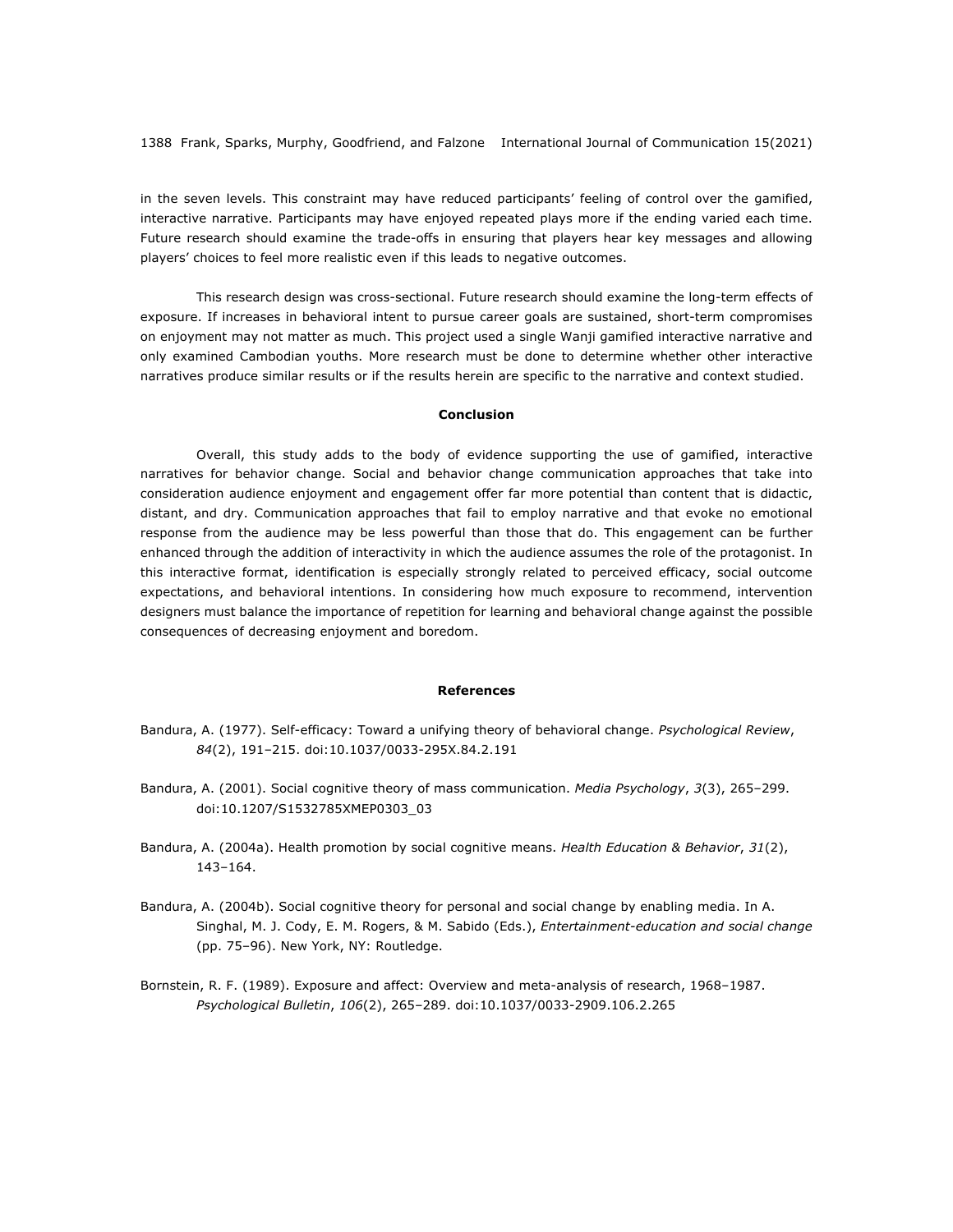in the seven levels. This constraint may have reduced participants' feeling of control over the gamified, interactive narrative. Participants may have enjoyed repeated plays more if the ending varied each time. Future research should examine the trade-offs in ensuring that players hear key messages and allowing players' choices to feel more realistic even if this leads to negative outcomes.

This research design was cross-sectional. Future research should examine the long-term effects of exposure. If increases in behavioral intent to pursue career goals are sustained, short-term compromises on enjoyment may not matter as much. This project used a single Wanji gamified interactive narrative and only examined Cambodian youths. More research must be done to determine whether other interactive narratives produce similar results or if the results herein are specific to the narrative and context studied.

#### **Conclusion**

Overall, this study adds to the body of evidence supporting the use of gamified, interactive narratives for behavior change. Social and behavior change communication approaches that take into consideration audience enjoyment and engagement offer far more potential than content that is didactic, distant, and dry. Communication approaches that fail to employ narrative and that evoke no emotional response from the audience may be less powerful than those that do. This engagement can be further enhanced through the addition of interactivity in which the audience assumes the role of the protagonist. In this interactive format, identification is especially strongly related to perceived efficacy, social outcome expectations, and behavioral intentions. In considering how much exposure to recommend, intervention designers must balance the importance of repetition for learning and behavioral change against the possible consequences of decreasing enjoyment and boredom.

#### **References**

- Bandura, A. (1977). Self-efficacy: Toward a unifying theory of behavioral change. *Psychological Review*, *84*(2), 191–215. doi:10.1037/0033-295X.84.2.191
- Bandura, A. (2001). Social cognitive theory of mass communication. *Media Psychology*, *3*(3), 265–299. doi:10.1207/S1532785XMEP0303\_03
- Bandura, A. (2004a). Health promotion by social cognitive means. *Health Education & Behavior*, *31*(2), 143–164.
- Bandura, A. (2004b). Social cognitive theory for personal and social change by enabling media. In A. Singhal, M. J. Cody, E. M. Rogers, & M. Sabido (Eds.), *Entertainment-education and social change* (pp. 75–96). New York, NY: Routledge.
- Bornstein, R. F. (1989). Exposure and affect: Overview and meta-analysis of research, 1968–1987. *Psychological Bulletin*, *106*(2), 265–289. doi:10.1037/0033-2909.106.2.265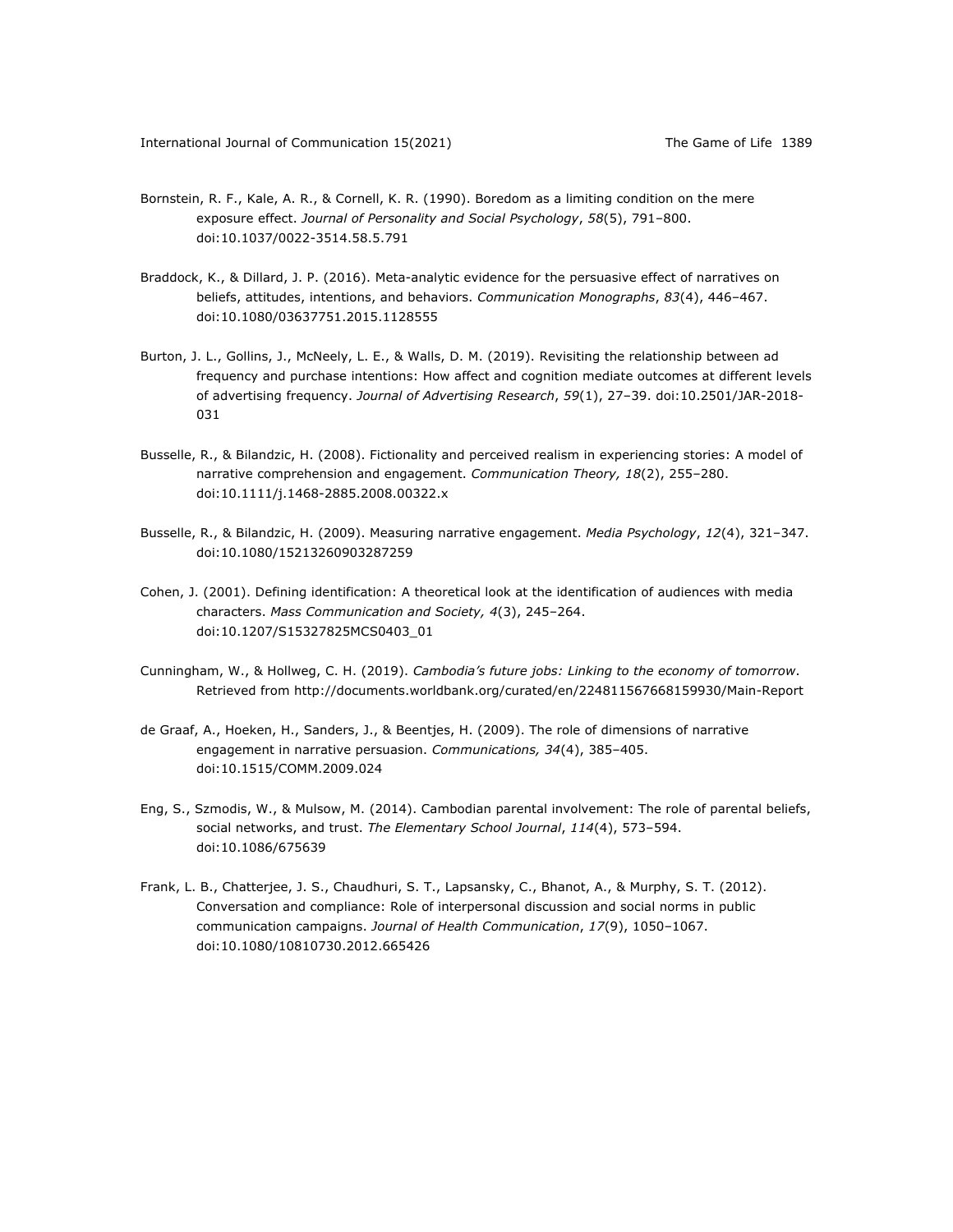- Bornstein, R. F., Kale, A. R., & Cornell, K. R. (1990). Boredom as a limiting condition on the mere exposure effect. *Journal of Personality and Social Psychology*, *58*(5), 791–800. doi:10.1037/0022-3514.58.5.791
- Braddock, K., & Dillard, J. P. (2016). Meta-analytic evidence for the persuasive effect of narratives on beliefs, attitudes, intentions, and behaviors. *Communication Monographs*, *83*(4), 446–467. doi:10.1080/03637751.2015.1128555
- Burton, J. L., Gollins, J., McNeely, L. E., & Walls, D. M. (2019). Revisiting the relationship between ad frequency and purchase intentions: How affect and cognition mediate outcomes at different levels of advertising frequency. *Journal of Advertising Research*, *59*(1), 27–39. doi:10.2501/JAR-2018- 031
- Busselle, R., & Bilandzic, H. (2008). Fictionality and perceived realism in experiencing stories: A model of narrative comprehension and engagement. *Communication Theory, 18*(2), 255–280. doi:10.1111/j.1468-2885.2008.00322.x
- Busselle, R., & Bilandzic, H. (2009). Measuring narrative engagement. *Media Psychology*, *12*(4), 321–347. doi:10.1080/15213260903287259
- Cohen, J. (2001). Defining identification: A theoretical look at the identification of audiences with media characters. *Mass Communication and Society, 4*(3), 245–264. doi:10.1207/S15327825MCS0403\_01
- Cunningham, W., & Hollweg, C. H. (2019). *Cambodia's future jobs: Linking to the economy of tomorrow*. Retrieved from http://documents.worldbank.org/curated/en/224811567668159930/Main-Report
- de Graaf, A., Hoeken, H., Sanders, J., & Beentjes, H. (2009). The role of dimensions of narrative engagement in narrative persuasion. *Communications, 34*(4), 385–405. doi:10.1515/COMM.2009.024
- Eng, S., Szmodis, W., & Mulsow, M. (2014). Cambodian parental involvement: The role of parental beliefs, social networks, and trust. *The Elementary School Journal*, *114*(4), 573–594. doi:10.1086/675639
- Frank, L. B., Chatterjee, J. S., Chaudhuri, S. T., Lapsansky, C., Bhanot, A., & Murphy, S. T. (2012). Conversation and compliance: Role of interpersonal discussion and social norms in public communication campaigns. *Journal of Health Communication*, *17*(9), 1050–1067. doi:10.1080/10810730.2012.665426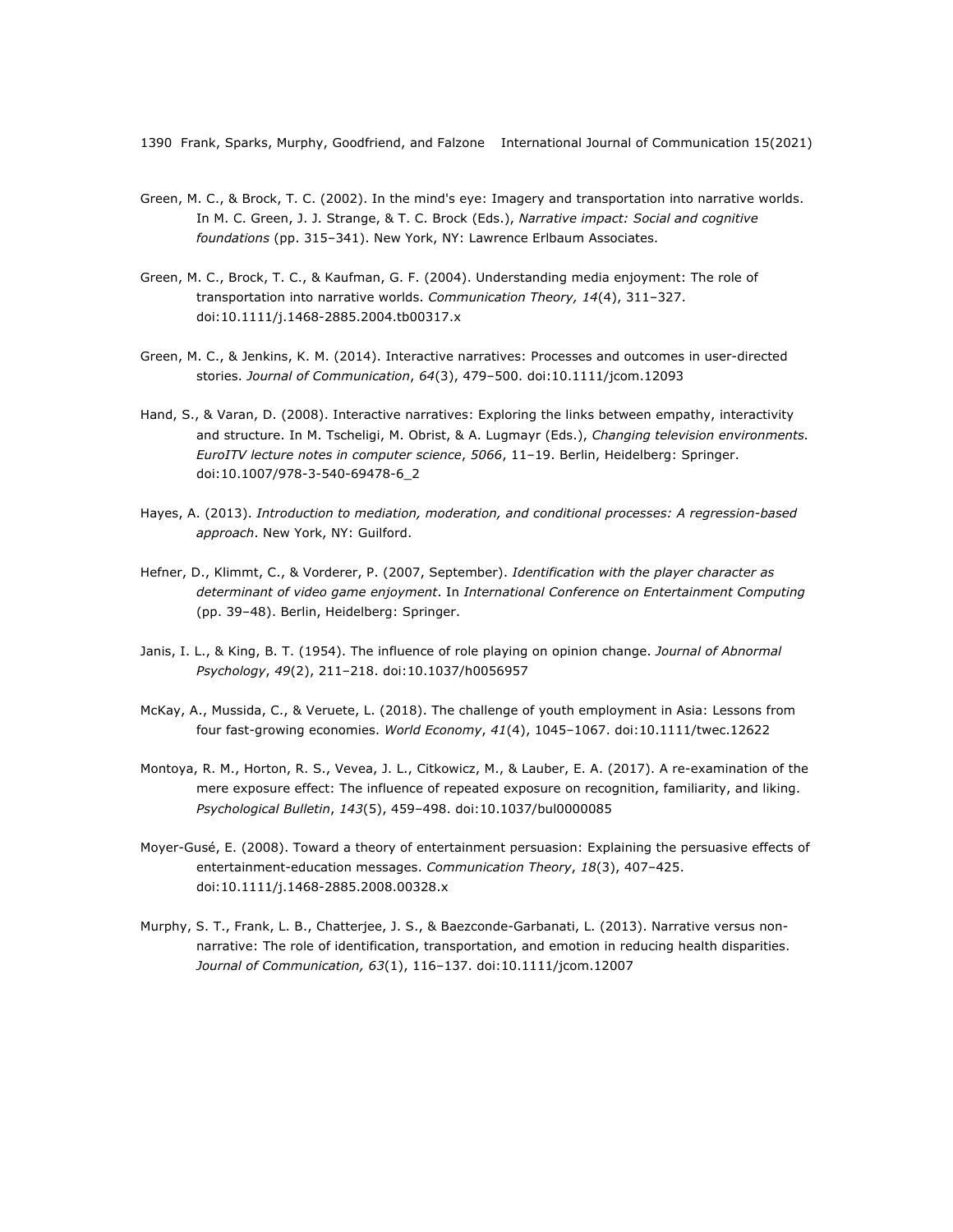- Green, M. C., & Brock, T. C. (2002). In the mind's eye: Imagery and transportation into narrative worlds. In M. C. Green, J. J. Strange, & T. C. Brock (Eds.), *Narrative impact: Social and cognitive foundations* (pp. 315–341). New York, NY: Lawrence Erlbaum Associates.
- Green, M. C., Brock, T. C., & Kaufman, G. F. (2004). Understanding media enjoyment: The role of transportation into narrative worlds. *Communication Theory, 14*(4), 311–327. doi:10.1111/j.1468-2885.2004.tb00317.x
- Green, M. C., & Jenkins, K. M. (2014). Interactive narratives: Processes and outcomes in user-directed stories. *Journal of Communication*, *64*(3), 479–500. doi:10.1111/jcom.12093
- Hand, S., & Varan, D. (2008). Interactive narratives: Exploring the links between empathy, interactivity and structure. In M. Tscheligi, M. Obrist, & A. Lugmayr (Eds.), *Changing television environments. EuroITV lecture notes in computer science*, *5066*, 11–19. Berlin, Heidelberg: Springer. doi:10.1007/978-3-540-69478-6\_2
- Hayes, A. (2013). *Introduction to mediation, moderation, and conditional processes: A regression-based approach*. New York, NY: Guilford.
- Hefner, D., Klimmt, C., & Vorderer, P. (2007, September). *Identification with the player character as determinant of video game enjoyment*. In *International Conference on Entertainment Computing* (pp. 39–48). Berlin, Heidelberg: Springer.
- Janis, I. L., & King, B. T. (1954). The influence of role playing on opinion change. *Journal of Abnormal Psychology*, *49*(2), 211–218. doi:10.1037/h0056957
- McKay, A., Mussida, C., & Veruete, L. (2018). The challenge of youth employment in Asia: Lessons from four fast-growing economies. *World Economy*, *41*(4), 1045–1067. doi:10.1111/twec.12622
- Montoya, R. M., Horton, R. S., Vevea, J. L., Citkowicz, M., & Lauber, E. A. (2017). A re-examination of the mere exposure effect: The influence of repeated exposure on recognition, familiarity, and liking. *Psychological Bulletin*, *143*(5), 459–498. doi:10.1037/bul0000085
- Moyer-Gusé, E. (2008). Toward a theory of entertainment persuasion: Explaining the persuasive effects of entertainment-education messages. *Communication Theory*, *18*(3), 407–425. doi:10.1111/j.1468-2885.2008.00328.x
- Murphy, S. T., Frank, L. B., Chatterjee, J. S., & Baezconde-Garbanati, L. (2013). Narrative versus nonnarrative: The role of identification, transportation, and emotion in reducing health disparities. *Journal of Communication, 63*(1), 116–137. doi:10.1111/jcom.12007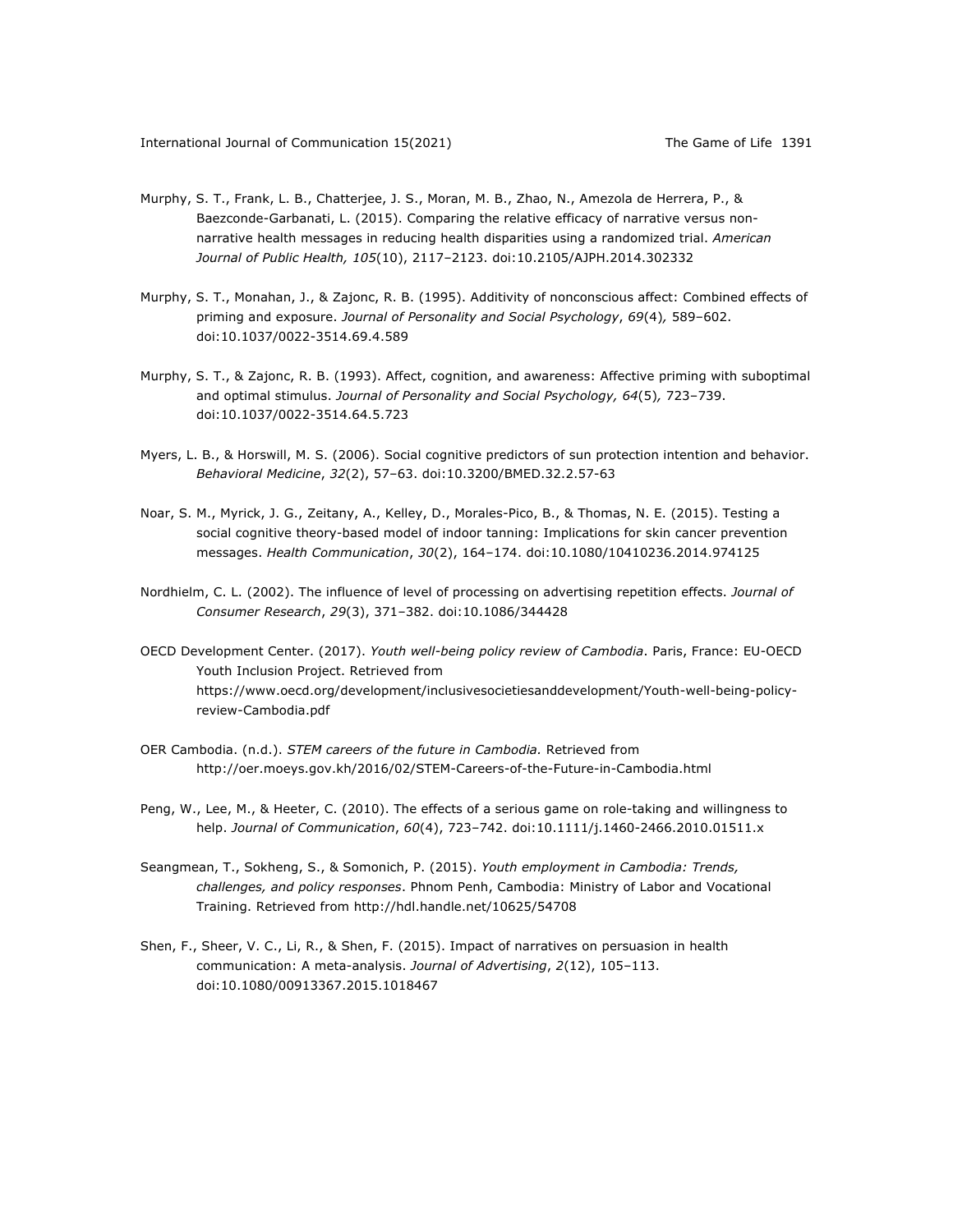- Murphy, S. T., Frank, L. B., Chatterjee, J. S., Moran, M. B., Zhao, N., Amezola de Herrera, P., & Baezconde-Garbanati, L. (2015). Comparing the relative efficacy of narrative versus nonnarrative health messages in reducing health disparities using a randomized trial. *American Journal of Public Health, 105*(10), 2117–2123. doi:10.2105/AJPH.2014.302332
- Murphy, S. T., Monahan, J., & Zajonc, R. B. (1995). Additivity of nonconscious affect: Combined effects of priming and exposure. *Journal of Personality and Social Psychology*, *69*(4)*,* 589–602. doi:10.1037/0022-3514.69.4.589
- Murphy, S. T., & Zajonc, R. B. (1993). Affect, cognition, and awareness: Affective priming with suboptimal and optimal stimulus. *Journal of Personality and Social Psychology, 64*(5)*,* 723–739. doi:10.1037/0022-3514.64.5.723
- Myers, L. B., & Horswill, M. S. (2006). Social cognitive predictors of sun protection intention and behavior. *Behavioral Medicine*, *32*(2), 57–63. doi:10.3200/BMED.32.2.57-63
- Noar, S. M., Myrick, J. G., Zeitany, A., Kelley, D., Morales-Pico, B., & Thomas, N. E. (2015). Testing a social cognitive theory-based model of indoor tanning: Implications for skin cancer prevention messages. *Health Communication*, *30*(2), 164–174. doi:10.1080/10410236.2014.974125
- Nordhielm, C. L. (2002). The influence of level of processing on advertising repetition effects. *Journal of Consumer Research*, *29*(3), 371–382. doi:10.1086/344428
- OECD Development Center. (2017). *Youth well-being policy review of Cambodia*. Paris, France: EU-OECD Youth Inclusion Project. Retrieved from https://www.oecd.org/development/inclusivesocietiesanddevelopment/Youth-well-being-policyreview-Cambodia.pdf
- OER Cambodia. (n.d.). *STEM careers of the future in Cambodia.* Retrieved from http://oer.moeys.gov.kh/2016/02/STEM-Careers-of-the-Future-in-Cambodia.html
- Peng, W., Lee, M., & Heeter, C. (2010). The effects of a serious game on role-taking and willingness to help. *Journal of Communication*, *60*(4), 723–742. doi:10.1111/j.1460-2466.2010.01511.x
- Seangmean, T., Sokheng, S., & Somonich, P. (2015). *Youth employment in Cambodia: Trends, challenges, and policy responses*. Phnom Penh, Cambodia: Ministry of Labor and Vocational Training. Retrieved from http://hdl.handle.net/10625/54708
- Shen, F., Sheer, V. C., Li, R., & Shen, F. (2015). Impact of narratives on persuasion in health communication: A meta-analysis. *Journal of Advertising*, *2*(12), 105–113. doi:10.1080/00913367.2015.1018467